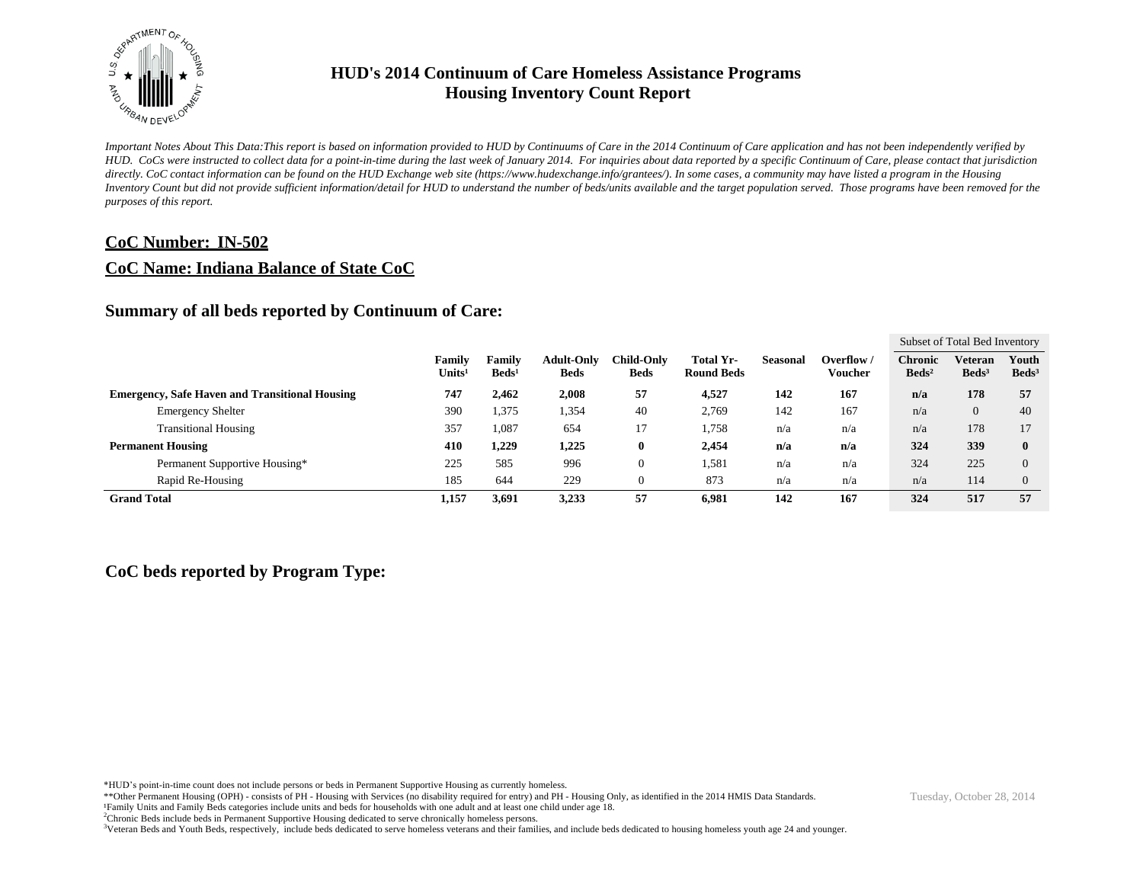

*Important Notes About This Data:This report is based on information provided to HUD by Continuums of Care in the 2014 Continuum of Care application and has not been independently verified by HUD. CoCs were instructed to collect data for a point-in-time during the last week of January 2014. For inquiries about data reported by a specific Continuum of Care, please contact that jurisdiction*  directly. CoC contact information can be found on the HUD Exchange web site (https://www.hudexchange.info/grantees/). In some cases, a community may have listed a program in the Housing *Inventory Count but did not provide sufficient information/detail for HUD to understand the number of beds/units available and the target population served. Those programs have been removed for the purposes of this report.*

#### **CoC Number: IN-502**

#### **CoC Name: Indiana Balance of State CoC**

#### **Summary of all beds reported by Continuum of Care:**

|                                                       |                              |                           |                                  |                                  |                                |          |                       |                                   | Subset of Total Bed Inventory |                          |
|-------------------------------------------------------|------------------------------|---------------------------|----------------------------------|----------------------------------|--------------------------------|----------|-----------------------|-----------------------------------|-------------------------------|--------------------------|
|                                                       | Family<br>Units <sup>1</sup> | Family<br>$\text{Beds}^1$ | <b>Adult-Only</b><br><b>Beds</b> | <b>Child-Only</b><br><b>Beds</b> | Total Yr-<br><b>Round Beds</b> | Seasonal | Overflow /<br>Voucher | <b>Chronic</b><br>$\text{Beds}^2$ | Veteran<br>Beds <sup>3</sup>  | Youth<br>$\text{Beds}^3$ |
| <b>Emergency, Safe Haven and Transitional Housing</b> | 747                          | 2,462                     | 2,008                            | 57                               | 4,527                          | 142      | 167                   | n/a                               | 178                           | 57                       |
| <b>Emergency Shelter</b>                              | 390                          | 1,375                     | 1,354                            | 40                               | 2,769                          | 142      | 167                   | n/a                               | $\overline{0}$                | 40                       |
| <b>Transitional Housing</b>                           | 357                          | 1,087                     | 654                              |                                  | 1,758                          | n/a      | n/a                   | n/a                               | 178                           | 17                       |
| <b>Permanent Housing</b>                              | 410                          | 1,229                     | 1,225                            | U                                | 2,454                          | n/a      | n/a                   | 324                               | 339                           | $\mathbf{0}$             |
| Permanent Supportive Housing*                         | 225                          | 585                       | 996                              |                                  | 1,581                          | n/a      | n/a                   | 324                               | 225                           | $\Omega$                 |
| Rapid Re-Housing                                      | 185                          | 644                       | 229                              |                                  | 873                            | n/a      | n/a                   | n/a                               | 114                           | $\overline{0}$           |
| <b>Grand Total</b>                                    | 1,157                        | 3,691                     | 3,233                            | 57                               | 6,981                          | 142      | 167                   | 324                               | 517                           | 57                       |

#### **CoC beds reported by Program Type:**

\*HUD's point-in-time count does not include persons or beds in Permanent Supportive Housing as currently homeless.

\*\*Other Permanent Housing (OPH) - consists of PH - Housing with Services (no disability required for entry) and PH - Housing Only, as identified in the 2014 HMIS Data Standards. ¹Family Units and Family Beds categories include units and beds for households with one adult and at least one child under age 18.

<sup>2</sup>Chronic Beds include beds in Permanent Supportive Housing dedicated to serve chronically homeless persons.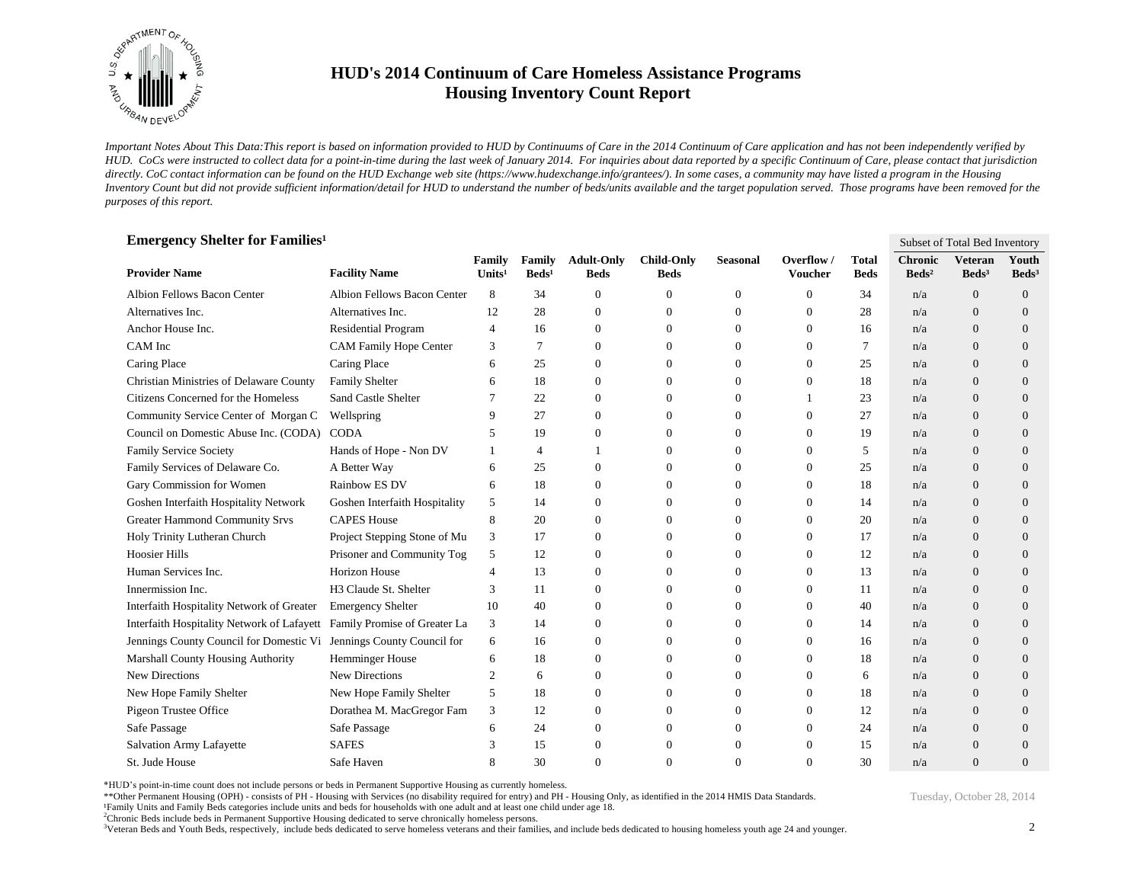

*Important Notes About This Data:This report is based on information provided to HUD by Continuums of Care in the 2014 Continuum of Care application and has not been independently verified by HUD. CoCs were instructed to collect data for a point-in-time during the last week of January 2014. For inquiries about data reported by a specific Continuum of Care, please contact that jurisdiction*  directly. CoC contact information can be found on the HUD Exchange web site (https://www.hudexchange.info/grantees/). In some cases, a community may have listed a program in the Housing *Inventory Count but did not provide sufficient information/detail for HUD to understand the number of beds/units available and the target population served. Those programs have been removed for the purposes of this report.*

| <b>Emergency Shelter for Families<sup>1</sup></b>                       |                               |                              |                           |                                  |                                  |                  |                              |                             | Subset of Total Bed Inventory     |                                     |                            |
|-------------------------------------------------------------------------|-------------------------------|------------------------------|---------------------------|----------------------------------|----------------------------------|------------------|------------------------------|-----------------------------|-----------------------------------|-------------------------------------|----------------------------|
| <b>Provider Name</b>                                                    | <b>Facility Name</b>          | Family<br>Units <sup>1</sup> | Family<br>$\text{Beds}^1$ | <b>Adult-Only</b><br><b>Beds</b> | <b>Child-Only</b><br><b>Beds</b> | <b>Seasonal</b>  | Overflow /<br><b>Voucher</b> | <b>Total</b><br><b>Beds</b> | <b>Chronic</b><br>$\text{Beds}^2$ | <b>Veteran</b><br>Beds <sup>3</sup> | Youth<br>Beds <sup>3</sup> |
| Albion Fellows Bacon Center                                             | Albion Fellows Bacon Center   | 8                            | 34                        | $\overline{0}$                   | $\theta$                         | $\mathbf{0}$     | $\Omega$                     | 34                          | n/a                               | $\theta$                            | $\theta$                   |
| Alternatives Inc.                                                       | Alternatives Inc.             | 12                           | 28                        | $\mathbf{0}$                     | $\theta$                         | $\boldsymbol{0}$ | $\overline{0}$               | 28                          | n/a                               | $\overline{0}$                      | $\theta$                   |
| Anchor House Inc.                                                       | <b>Residential Program</b>    | $\overline{4}$               | 16                        | $\overline{0}$                   | $\Omega$                         | $\Omega$         | $\Omega$                     | 16                          | n/a                               | $\Omega$                            | $\Omega$                   |
| CAM Inc                                                                 | <b>CAM Family Hope Center</b> | 3                            | $\overline{7}$            | $\mathbf{0}$                     | $\theta$                         | $\mathbf{0}$     | $\overline{0}$               | 7                           | n/a                               | $\overline{0}$                      | $\theta$                   |
| Caring Place                                                            | Caring Place                  | 6                            | 25                        | $\theta$                         | $\Omega$                         | $\Omega$         | $\Omega$                     | 25                          | n/a                               | $\Omega$                            | $\Omega$                   |
| Christian Ministries of Delaware County                                 | Family Shelter                | 6                            | 18                        | $\theta$                         | $\Omega$                         | $\mathbf{0}$     | $\mathbf{0}$                 | 18                          | n/a                               | $\theta$                            | $\theta$                   |
| Citizens Concerned for the Homeless                                     | Sand Castle Shelter           | 7                            | 22                        | $\mathbf{0}$                     | $\theta$                         | $\mathbf{0}$     |                              | 23                          | n/a                               | $\overline{0}$                      | $\theta$                   |
| Community Service Center of Morgan C                                    | Wellspring                    | 9                            | 27                        | $\overline{0}$                   | $\theta$                         | $\mathbf{0}$     | $\mathbf{0}$                 | 27                          | n/a                               | $\theta$                            | $\theta$                   |
| Council on Domestic Abuse Inc. (CODA) CODA                              |                               | 5                            | 19                        | $\boldsymbol{0}$                 | $\Omega$                         | $\mathbf{0}$     | $\overline{0}$               | 19                          | n/a                               | $\overline{0}$                      | $\theta$                   |
| Family Service Society                                                  | Hands of Hope - Non DV        |                              | $\overline{4}$            | $\mathbf{1}$                     | $\Omega$                         | $\mathbf{0}$     | $\mathbf{0}$                 | 5                           | n/a                               | $\overline{0}$                      | $\theta$                   |
| Family Services of Delaware Co.                                         | A Better Way                  | 6                            | 25                        | $\mathbf{0}$                     | $\Omega$                         | $\Omega$         | $\Omega$                     | 25                          | n/a                               | $\overline{0}$                      | $\theta$                   |
| Gary Commission for Women                                               | Rainbow ES DV                 | 6                            | 18                        | $\theta$                         | $\theta$                         | $\mathbf{0}$     | $\mathbf{0}$                 | 18                          | n/a                               | $\theta$                            | $\theta$                   |
| Goshen Interfaith Hospitality Network                                   | Goshen Interfaith Hospitality | 5                            | 14                        | $\overline{0}$                   | $\Omega$                         | $\mathbf{0}$     | 0                            | 14                          | n/a                               | $\theta$                            | $\theta$                   |
| <b>Greater Hammond Community Srvs</b>                                   | <b>CAPES House</b>            | 8                            | 20                        | $\mathbf{0}$                     | $\theta$                         | $\mathbf{0}$     | $\theta$                     | 20                          | n/a                               | $\overline{0}$                      | $\theta$                   |
| Holy Trinity Lutheran Church                                            | Project Stepping Stone of Mu  | 3                            | 17                        | $\mathbf{0}$                     | $\Omega$                         | $\Omega$         | $\Omega$                     | 17                          | n/a                               | $\overline{0}$                      | $\theta$                   |
| <b>Hoosier Hills</b>                                                    | Prisoner and Community Tog    | 5                            | 12                        | $\theta$                         | $\Omega$                         | $\mathbf{0}$     | $\mathbf{0}$                 | 12                          | n/a                               | $\overline{0}$                      | $\theta$                   |
| Human Services Inc.                                                     | <b>Horizon House</b>          | $\overline{4}$               | 13                        | $\theta$                         | $\Omega$                         | $\Omega$         | $\Omega$                     | 13                          | n/a                               | $\Omega$                            | $\theta$                   |
| Innermission Inc.                                                       | H3 Claude St. Shelter         | 3                            | 11                        | $\theta$                         | $\Omega$                         | $\Omega$         | $\Omega$                     | 11                          | n/a                               | $\Omega$                            | $\Omega$                   |
| Interfaith Hospitality Network of Greater                               | <b>Emergency Shelter</b>      | 10                           | 40                        | $\mathbf{0}$                     | 0                                | $\mathbf{0}$     | $\mathbf{0}$                 | 40                          | n/a                               | $\overline{0}$                      | $\theta$                   |
| Interfaith Hospitality Network of Lafayett Family Promise of Greater La |                               | 3                            | 14                        | $\theta$                         | $\Omega$                         | $\Omega$         | $\Omega$                     | 14                          | n/a                               | $\Omega$                            | $\Omega$                   |
| Jennings County Council for Domestic Vi Jennings County Council for     |                               | 6                            | 16                        | $\boldsymbol{0}$                 | $\Omega$                         | $\mathbf{0}$     | $\mathbf{0}$                 | 16                          | n/a                               | $\overline{0}$                      | $\theta$                   |
| Marshall County Housing Authority                                       | <b>Hemminger House</b>        | 6                            | 18                        | $\overline{0}$                   | $\Omega$                         | $\Omega$         | $\Omega$                     | 18                          | n/a                               | $\Omega$                            | $\Omega$                   |
| <b>New Directions</b>                                                   | <b>New Directions</b>         | $\overline{2}$               | 6                         | $\mathbf{0}$                     | $\Omega$                         | $\mathbf{0}$     | $\theta$                     | 6                           | n/a                               | $\theta$                            | $\theta$                   |
| New Hope Family Shelter                                                 | New Hope Family Shelter       | 5                            | 18                        | $\boldsymbol{0}$                 | 0                                | $\Omega$         | $\Omega$                     | 18                          | n/a                               | $\overline{0}$                      | $\theta$                   |
| Pigeon Trustee Office                                                   | Dorathea M. MacGregor Fam     | 3                            | 12                        | $\overline{0}$                   | $\theta$                         | $\mathbf{0}$     | $\mathbf{0}$                 | 12                          | n/a                               | $\overline{0}$                      | $\theta$                   |
| Safe Passage                                                            | Safe Passage                  | 6                            | 24                        | $\mathbf{0}$                     | $\Omega$                         | $\mathbf{0}$     | $\theta$                     | 24                          | n/a                               | $\overline{0}$                      | $\theta$                   |
| <b>Salvation Army Lafayette</b>                                         | <b>SAFES</b>                  | 3                            | 15                        | $\theta$                         | $\Omega$                         | $\Omega$         | $\Omega$                     | 15                          | n/a                               | $\overline{0}$                      | $\overline{0}$             |
| St. Jude House                                                          | Safe Haven                    | 8                            | 30                        | $\Omega$                         | $\Omega$                         | $\Omega$         | $\Omega$                     | 30                          | n/a                               | $\Omega$                            | $\Omega$                   |

\*HUD's point-in-time count does not include persons or beds in Permanent Supportive Housing as currently homeless.

\*\*Other Permanent Housing (OPH) - consists of PH - Housing with Services (no disability required for entry) and PH - Housing Only, as identified in the 2014 HMIS Data Standards.

¹Family Units and Family Beds categories include units and beds for households with one adult and at least one child under age 18.

<sup>2</sup>Chronic Beds include beds in Permanent Supportive Housing dedicated to serve chronically homeless persons.

<sup>3</sup>Veteran Beds and Youth Beds, respectively, include beds dedicated to serve homeless veterans and their families, and include beds dedicated to housing homeless youth age 24 and younger.

2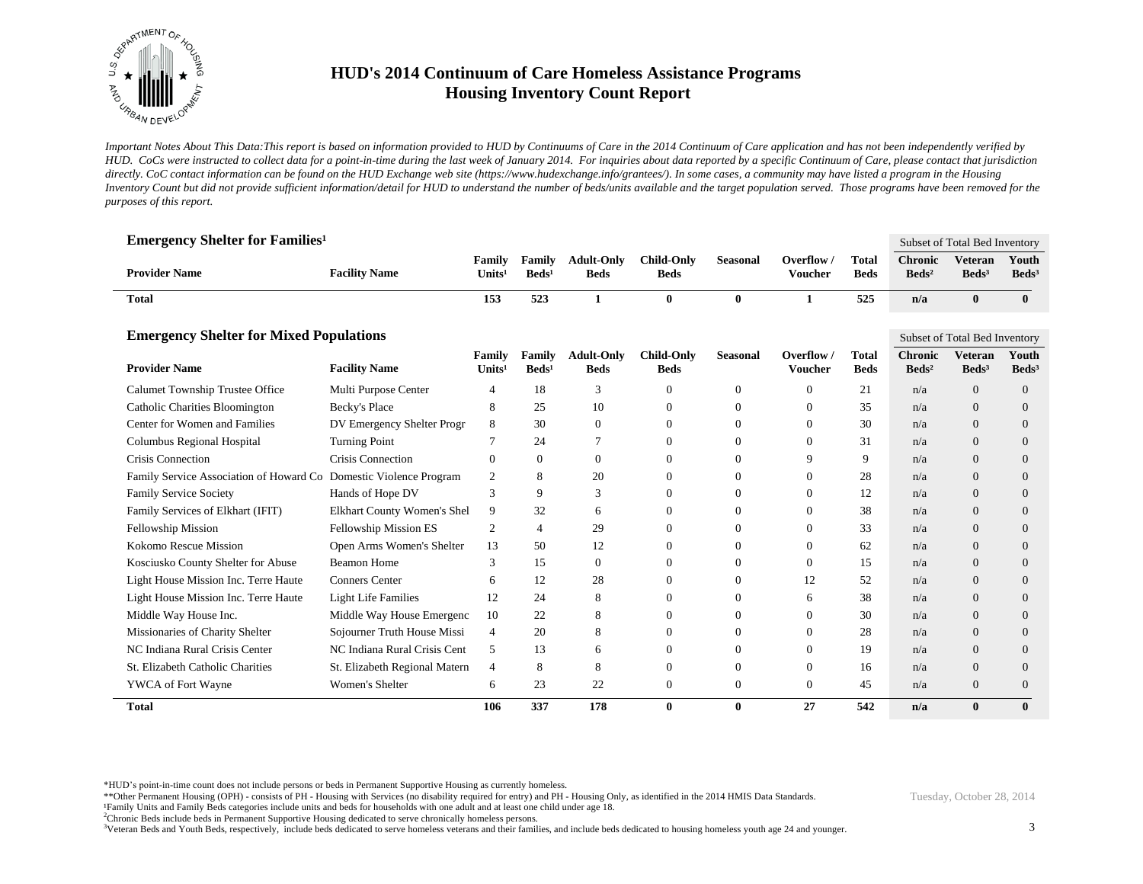

*Important Notes About This Data:This report is based on information provided to HUD by Continuums of Care in the 2014 Continuum of Care application and has not been independently verified by HUD. CoCs were instructed to collect data for a point-in-time during the last week of January 2014. For inquiries about data reported by a specific Continuum of Care, please contact that jurisdiction*  directly. CoC contact information can be found on the HUD Exchange web site (https://www.hudexchange.info/grantees/). In some cases, a community may have listed a program in the Housing *Inventory Count but did not provide sufficient information/detail for HUD to understand the number of beds/units available and the target population served. Those programs have been removed for the purposes of this report.*

| <b>Emergency Shelter for Families<sup>1</sup></b>                 |                               |                              |                           |                                  |                                  |                  |                              |                             |                                     | Subset of Total Bed Inventory       |                            |
|-------------------------------------------------------------------|-------------------------------|------------------------------|---------------------------|----------------------------------|----------------------------------|------------------|------------------------------|-----------------------------|-------------------------------------|-------------------------------------|----------------------------|
| <b>Provider Name</b>                                              | <b>Facility Name</b>          | Family<br>Units <sup>1</sup> | Family<br>$\text{Beds}^1$ | <b>Adult-Only</b><br><b>Beds</b> | <b>Child-Only</b><br><b>Beds</b> | <b>Seasonal</b>  | Overflow /<br><b>Voucher</b> | <b>Total</b><br><b>Beds</b> | <b>Chronic</b><br>Beds <sup>2</sup> | <b>Veteran</b><br>$\text{Beds}^3$   | Youth<br>$\text{Beds}^3$   |
| <b>Total</b>                                                      |                               | 153                          | 523                       | 1                                | $\bf{0}$                         | $\bf{0}$         | $\mathbf{1}$                 | 525                         | n/a                                 | $\bf{0}$                            | $\bf{0}$                   |
| <b>Emergency Shelter for Mixed Populations</b>                    |                               |                              |                           |                                  |                                  |                  |                              |                             |                                     | Subset of Total Bed Inventory       |                            |
| <b>Provider Name</b>                                              | <b>Facility Name</b>          | Family<br>Units $1$          | Family<br>$\text{Beds}^1$ | <b>Adult-Only</b><br><b>Beds</b> | <b>Child-Only</b><br><b>Beds</b> | <b>Seasonal</b>  | Overflow /<br><b>Voucher</b> | <b>Total</b><br><b>Beds</b> | <b>Chronic</b><br>$\text{Beds}^2$   | <b>Veteran</b><br>Beds <sup>3</sup> | Youth<br>Beds <sup>3</sup> |
| Calumet Township Trustee Office                                   | Multi Purpose Center          | 4                            | 18                        | 3                                | $\boldsymbol{0}$                 | $\boldsymbol{0}$ | $\overline{0}$               | 21                          | n/a                                 | $\overline{0}$                      | $\overline{0}$             |
| <b>Catholic Charities Bloomington</b>                             | <b>Becky's Place</b>          | 8                            | 25                        | 10                               | $\overline{0}$                   | $\mathbf{0}$     | $\Omega$                     | 35                          | n/a                                 | $\Omega$                            | 0                          |
| Center for Women and Families                                     | DV Emergency Shelter Progr    | 8                            | 30                        | $\theta$                         | $\overline{0}$                   | $\mathbf{0}$     | $\theta$                     | 30                          | n/a                                 | $\Omega$                            | 0                          |
| Columbus Regional Hospital                                        | <b>Turning Point</b>          | 7                            | 24                        | 7                                | $\mathbf{0}$                     | $\mathbf{0}$     | $\overline{0}$               | 31                          | n/a                                 | $\Omega$                            | 0                          |
| Crisis Connection                                                 | <b>Crisis Connection</b>      | $\mathbf{0}$                 | $\Omega$                  | $\theta$                         | $\Omega$                         | $\Omega$         | 9                            | 9                           | n/a                                 | $\Omega$                            | 0                          |
| Family Service Association of Howard Co Domestic Violence Program |                               | $\overline{2}$               | 8                         | 20                               | $\Omega$                         | $\Omega$         | $\theta$                     | 28                          | n/a                                 | $\Omega$                            | $\Omega$                   |
| <b>Family Service Society</b>                                     | Hands of Hope DV              | 3                            | 9                         | 3                                | $\mathbf{0}$                     | $\mathbf{0}$     | $\overline{0}$               | 12                          | n/a                                 | $\overline{0}$                      | 0                          |
| Family Services of Elkhart (IFIT)                                 | Elkhart County Women's Shel   | 9                            | 32                        | 6                                | $\overline{0}$                   | $\mathbf{0}$     | $\theta$                     | 38                          | n/a                                 | $\Omega$                            | $\overline{0}$             |
| Fellowship Mission                                                | Fellowship Mission ES         | 2                            | $\overline{4}$            | 29                               | $\Omega$                         | $\Omega$         | $\Omega$                     | 33                          | n/a                                 | $\Omega$                            | $\Omega$                   |
| Kokomo Rescue Mission                                             | Open Arms Women's Shelter     | 13                           | 50                        | 12                               | $\mathbf{0}$                     | $\mathbf{0}$     | $\theta$                     | 62                          | n/a                                 | $\Omega$                            | $\overline{0}$             |
| Kosciusko County Shelter for Abuse                                | <b>Beamon Home</b>            | 3                            | 15                        | $\theta$                         | $\overline{0}$                   | $\mathbf{0}$     | $\Omega$                     | 15                          | n/a                                 | $\Omega$                            | $\overline{0}$             |
| Light House Mission Inc. Terre Haute                              | <b>Conners</b> Center         | 6                            | 12                        | 28                               | $\Omega$                         | $\mathbf{0}$     | 12                           | 52                          | n/a                                 | $\Omega$                            | $\Omega$                   |
| Light House Mission Inc. Terre Haute                              | <b>Light Life Families</b>    | 12                           | 24                        | 8                                | $\mathbf{0}$                     | $\mathbf{0}$     | 6                            | 38                          | n/a                                 | $\overline{0}$                      | $\overline{0}$             |
| Middle Way House Inc.                                             | Middle Way House Emergenc     | 10                           | 22                        | 8                                | $\theta$                         | $\overline{0}$   | $\Omega$                     | 30                          | n/a                                 | $\Omega$                            | 0                          |
| Missionaries of Charity Shelter                                   | Sojourner Truth House Missi   | $\overline{4}$               | 20                        | 8                                | $\Omega$                         | $\Omega$         | $\Omega$                     | 28                          | n/a                                 | $\Omega$                            | $\Omega$                   |
| NC Indiana Rural Crisis Center                                    | NC Indiana Rural Crisis Cent  | 5                            | 13                        | 6                                | $\mathbf{0}$                     | $\mathbf{0}$     | $\theta$                     | 19                          | n/a                                 | $\overline{0}$                      | $\overline{0}$             |
| St. Elizabeth Catholic Charities                                  | St. Elizabeth Regional Matern | $\overline{4}$               | 8                         | 8                                | $\overline{0}$                   | $\mathbf{0}$     | $\Omega$                     | 16                          | n/a                                 | $\Omega$                            | 0                          |
| YWCA of Fort Wayne                                                | Women's Shelter               | 6                            | 23                        | 22                               | $\overline{0}$                   | $\mathbf{0}$     | $\theta$                     | 45                          | n/a                                 | $\Omega$                            | $\Omega$                   |
| <b>Total</b>                                                      |                               | 106                          | 337                       | 178                              | $\mathbf{0}$                     | $\bf{0}$         | 27                           | 542                         | n/a                                 | $\mathbf{0}$                        | 0                          |

\*HUD's point-in-time count does not include persons or beds in Permanent Supportive Housing as currently homeless.

\*\*Other Permanent Housing (OPH) - consists of PH - Housing with Services (no disability required for entry) and PH - Housing Only, as identified in the 2014 HMIS Data Standards.

¹Family Units and Family Beds categories include units and beds for households with one adult and at least one child under age 18.

<sup>2</sup>Chronic Beds include beds in Permanent Supportive Housing dedicated to serve chronically homeless persons.

<sup>3</sup>Veteran Beds and Youth Beds, respectively, include beds dedicated to serve homeless veterans and their families, and include beds dedicated to housing homeless youth age 24 and younger.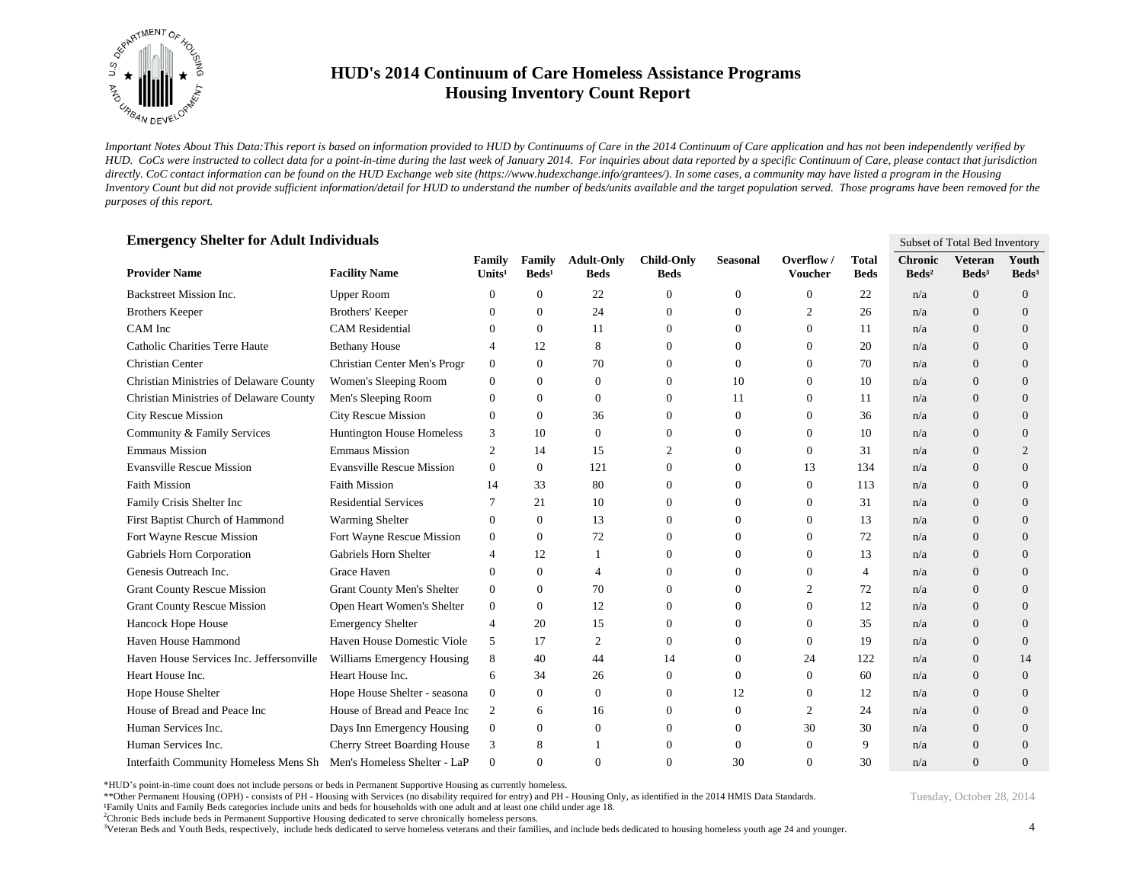

*Important Notes About This Data:This report is based on information provided to HUD by Continuums of Care in the 2014 Continuum of Care application and has not been independently verified by HUD. CoCs were instructed to collect data for a point-in-time during the last week of January 2014. For inquiries about data reported by a specific Continuum of Care, please contact that jurisdiction*  directly. CoC contact information can be found on the HUD Exchange web site (https://www.hudexchange.info/grantees/). In some cases, a community may have listed a program in the Housing *Inventory Count but did not provide sufficient information/detail for HUD to understand the number of beds/units available and the target population served. Those programs have been removed for the purposes of this report.*

| <b>Emergency Shelter for Adult Individuals</b> |                                     |                     |                           |                                  |                                  |                 |                              |                             | Subset of Total Bed Inventory     |                                     |                            |
|------------------------------------------------|-------------------------------------|---------------------|---------------------------|----------------------------------|----------------------------------|-----------------|------------------------------|-----------------------------|-----------------------------------|-------------------------------------|----------------------------|
| <b>Provider Name</b>                           | <b>Facility Name</b>                | Family<br>Units $1$ | Family<br>$\text{Beds}^1$ | <b>Adult-Only</b><br><b>Beds</b> | <b>Child-Only</b><br><b>Beds</b> | <b>Seasonal</b> | Overflow /<br><b>Voucher</b> | <b>Total</b><br><b>Beds</b> | <b>Chronic</b><br>$\text{Beds}^2$ | <b>Veteran</b><br>Beds <sup>3</sup> | Youth<br>Beds <sup>3</sup> |
| Backstreet Mission Inc.                        | <b>Upper Room</b>                   | $\theta$            | 0                         | 22                               | 0                                | $\overline{0}$  | $\Omega$                     | 22                          | n/a                               | $\overline{0}$                      | $\theta$                   |
| <b>Brothers Keeper</b>                         | Brothers' Keeper                    | $\theta$            | 0                         | 24                               | $\overline{0}$                   | $\mathbf{0}$    | 2                            | 26                          | n/a                               | $\Omega$                            | $\Omega$                   |
| CAM Inc                                        | <b>CAM</b> Residential              | $\Omega$            | $\theta$                  | 11                               | $\overline{0}$                   | $\mathbf{0}$    | $\Omega$                     | 11                          | n/a                               | $\overline{0}$                      | $\Omega$                   |
| Catholic Charities Terre Haute                 | <b>Bethany House</b>                | $\overline{4}$      | 12                        | 8                                | $\mathbf{0}$                     | $\theta$        | $\Omega$                     | 20                          | n/a                               | $\overline{0}$                      | $\theta$                   |
| Christian Center                               | Christian Center Men's Progr        | $\overline{0}$      | $\mathbf{0}$              | 70                               | $\Omega$                         | $\Omega$        | $\Omega$                     | 70                          | n/a                               | $\overline{0}$                      | $\Omega$                   |
| <b>Christian Ministries of Delaware County</b> | Women's Sleeping Room               | $\overline{0}$      | $\theta$                  | $\theta$                         | $\overline{0}$                   | 10              | $\overline{0}$               | 10                          | n/a                               | $\overline{0}$                      | $\theta$                   |
| Christian Ministries of Delaware County        | Men's Sleeping Room                 | $\theta$            | $\theta$                  | $\mathbf{0}$                     | $\overline{0}$                   | 11              | $\Omega$                     | 11                          | n/a                               | $\overline{0}$                      | $\theta$                   |
| <b>City Rescue Mission</b>                     | <b>City Rescue Mission</b>          | $\theta$            | $\theta$                  | 36                               | $\Omega$                         | $\overline{0}$  | 0                            | 36                          | n/a                               | $\overline{0}$                      | $\theta$                   |
| Community & Family Services                    | Huntington House Homeless           | 3                   | 10                        | $\mathbf{0}$                     | $\mathbf{0}$                     | $\theta$        | $\theta$                     | 10                          | n/a                               | $\Omega$                            | $\theta$                   |
| <b>Emmaus Mission</b>                          | <b>Emmaus Mission</b>               | 2                   | 14                        | 15                               | 2                                | $\mathbf{0}$    | $\Omega$                     | 31                          | n/a                               | $\overline{0}$                      | $\overline{2}$             |
| <b>Evansville Rescue Mission</b>               | <b>Evansville Rescue Mission</b>    | $\Omega$            | $\theta$                  | 121                              | $\Omega$                         | $\mathbf{0}$    | 13                           | 134                         | n/a                               | $\theta$                            | $\theta$                   |
| <b>Faith Mission</b>                           | <b>Faith Mission</b>                | 14                  | 33                        | 80                               | $\Omega$                         | $\Omega$        | $\Omega$                     | 113                         | n/a                               | $\Omega$                            | $\Omega$                   |
| Family Crisis Shelter Inc                      | <b>Residential Services</b>         | 7                   | 21                        | 10                               | $\overline{0}$                   | 0               | $\Omega$                     | 31                          | n/a                               | $\overline{0}$                      | $\theta$                   |
| First Baptist Church of Hammond                | <b>Warming Shelter</b>              | $\theta$            | $\mathbf{0}$              | 13                               | $\overline{0}$                   | $\theta$        | $\Omega$                     | 13                          | n/a                               | $\overline{0}$                      | $\theta$                   |
| Fort Wayne Rescue Mission                      | Fort Wayne Rescue Mission           | $\overline{0}$      | $\Omega$                  | 72                               | $\Omega$                         | $\Omega$        | $\Omega$                     | 72                          | n/a                               | $\Omega$                            | $\Omega$                   |
| Gabriels Horn Corporation                      | Gabriels Horn Shelter               | 4                   | 12                        |                                  | $\mathbf{0}$                     | $\theta$        | $\theta$                     | 13                          | n/a                               | $\overline{0}$                      | $\theta$                   |
| Genesis Outreach Inc.                          | <b>Grace Haven</b>                  | $\Omega$            | $\Omega$                  | $\overline{4}$                   | $\Omega$                         | $\Omega$        | $\Omega$                     | 4                           | n/a                               | $\Omega$                            | $\Omega$                   |
| <b>Grant County Rescue Mission</b>             | Grant County Men's Shelter          | $\overline{0}$      | $\Omega$                  | 70                               | $\Omega$                         | $\Omega$        | $\overline{c}$               | 72                          | n/a                               | $\Omega$                            | $\Omega$                   |
| <b>Grant County Rescue Mission</b>             | Open Heart Women's Shelter          | $\mathbf{0}$        | $\theta$                  | 12                               | $\overline{0}$                   | $\theta$        | $\overline{0}$               | 12                          | n/a                               | $\overline{0}$                      | $\theta$                   |
| Hancock Hope House                             | <b>Emergency Shelter</b>            | $\overline{4}$      | 20                        | 15                               | $\overline{0}$                   | $\Omega$        | $\Omega$                     | 35                          | n/a                               | $\overline{0}$                      | $\theta$                   |
| Haven House Hammond                            | Haven House Domestic Viole          | 5                   | 17                        | 2                                | $\overline{0}$                   | $\Omega$        | $\Omega$                     | 19                          | n/a                               | $\Omega$                            | $\theta$                   |
| Haven House Services Inc. Jeffersonville       | Williams Emergency Housing          | 8                   | 40                        | 44                               | 14                               | $\mathbf{0}$    | 24                           | 122                         | n/a                               | $\overline{0}$                      | 14                         |
| Heart House Inc.                               | Heart House Inc.                    | 6                   | 34                        | 26                               | $\overline{0}$                   | $\Omega$        | $\Omega$                     | 60                          | n/a                               | $\theta$                            | $\mathbf{0}$               |
| Hope House Shelter                             | Hope House Shelter - seasona        | $\mathbf{0}$        | $\Omega$                  | $\Omega$                         | $\Omega$                         | 12              | $\Omega$                     | 12                          | n/a                               | $\Omega$                            | $\Omega$                   |
| House of Bread and Peace Inc                   | House of Bread and Peace Inc        | 2                   | 6                         | 16                               | $\overline{0}$                   | $\mathbf{0}$    | $\overline{c}$               | 24                          | n/a                               | $\overline{0}$                      | $\theta$                   |
| Human Services Inc.                            | Days Inn Emergency Housing          | $\mathbf{0}$        | $\theta$                  | $\overline{0}$                   | $\overline{0}$                   | $\mathbf{0}$    | 30                           | 30                          | n/a                               | $\overline{0}$                      | $\theta$                   |
| Human Services Inc.                            | <b>Cherry Street Boarding House</b> | 3                   | 8                         |                                  | $\Omega$                         | $\Omega$        | $\Omega$                     | 9                           | n/a                               | $\Omega$                            | $\Omega$                   |
| Interfaith Community Homeless Mens Sh          | Men's Homeless Shelter - LaP        | $\theta$            | 0                         | $\overline{0}$                   | $\Omega$                         | 30              | $\Omega$                     | 30                          | n/a                               | $\Omega$                            | $\Omega$                   |

\*HUD's point-in-time count does not include persons or beds in Permanent Supportive Housing as currently homeless.

\*\*Other Permanent Housing (OPH) - consists of PH - Housing with Services (no disability required for entry) and PH - Housing Only, as identified in the 2014 HMIS Data Standards.

¹Family Units and Family Beds categories include units and beds for households with one adult and at least one child under age 18.

<sup>2</sup>Chronic Beds include beds in Permanent Supportive Housing dedicated to serve chronically homeless persons.

<sup>3</sup>Veteran Beds and Youth Beds, respectively, include beds dedicated to serve homeless veterans and their families, and include beds dedicated to housing homeless youth age 24 and younger.

4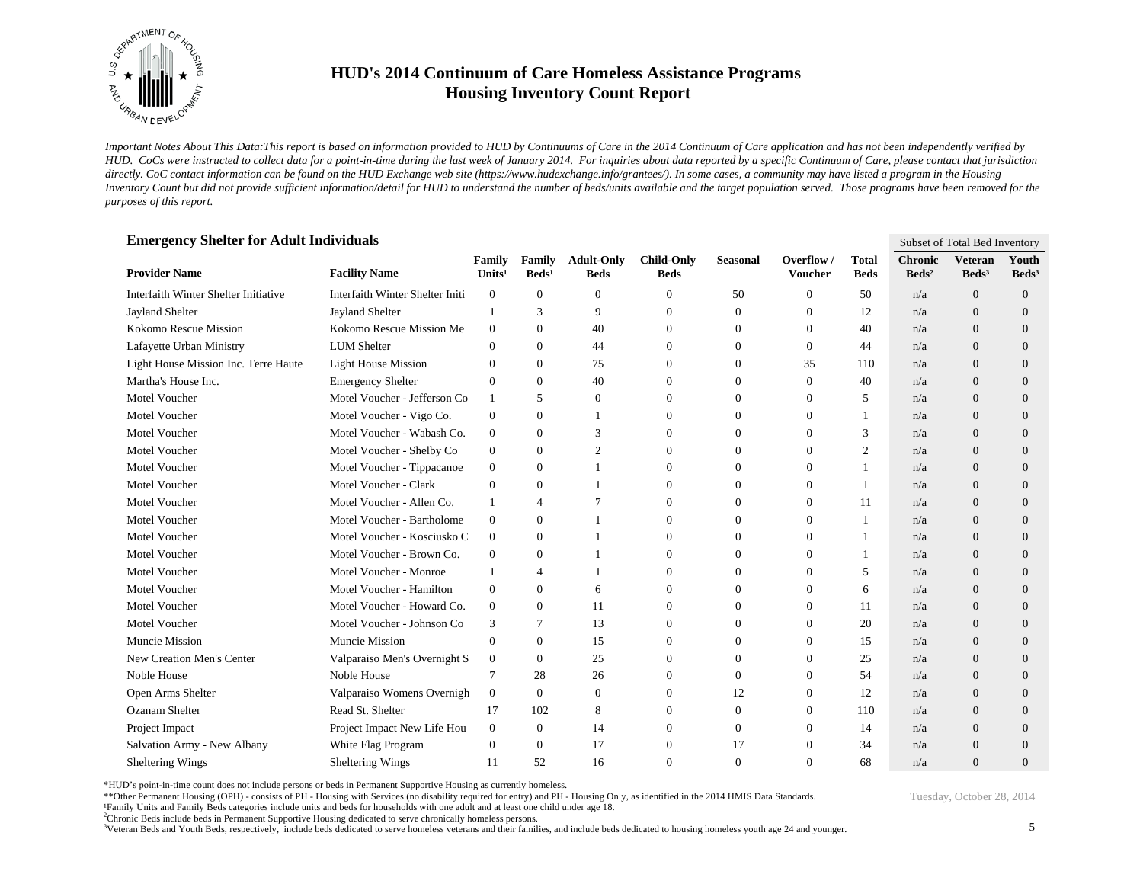

*Important Notes About This Data:This report is based on information provided to HUD by Continuums of Care in the 2014 Continuum of Care application and has not been independently verified by HUD. CoCs were instructed to collect data for a point-in-time during the last week of January 2014. For inquiries about data reported by a specific Continuum of Care, please contact that jurisdiction*  directly. CoC contact information can be found on the HUD Exchange web site (https://www.hudexchange.info/grantees/). In some cases, a community may have listed a program in the Housing *Inventory Count but did not provide sufficient information/detail for HUD to understand the number of beds/units available and the target population served. Those programs have been removed for the purposes of this report.*

| <b>Emergency Shelter for Adult Individuals</b> |                                        |                     |                           |                                  |                                  |                 |                              |                             |                                   | Subset of Total Bed Inventory       |                            |
|------------------------------------------------|----------------------------------------|---------------------|---------------------------|----------------------------------|----------------------------------|-----------------|------------------------------|-----------------------------|-----------------------------------|-------------------------------------|----------------------------|
| <b>Provider Name</b>                           | <b>Facility Name</b>                   | Family<br>Units $1$ | Family<br>$\text{Beds}^1$ | <b>Adult-Only</b><br><b>Beds</b> | <b>Child-Only</b><br><b>Beds</b> | <b>Seasonal</b> | Overflow /<br><b>Voucher</b> | <b>Total</b><br><b>Beds</b> | <b>Chronic</b><br>$\text{Beds}^2$ | <b>Veteran</b><br>Beds <sup>3</sup> | Youth<br>Beds <sup>3</sup> |
| Interfaith Winter Shelter Initiative           | <b>Interfaith Winter Shelter Initi</b> | $\boldsymbol{0}$    | 0                         | $\theta$                         | $\overline{0}$                   | 50              | $\overline{0}$               | 50                          | n/a                               | $\overline{0}$                      | $\theta$                   |
| <b>Jayland Shelter</b>                         | <b>Jayland Shelter</b>                 | 1                   | 3                         | 9                                | $\overline{0}$                   | $\mathbf{0}$    | $\Omega$                     | 12                          | n/a                               | $\theta$                            | $\theta$                   |
| Kokomo Rescue Mission                          | Kokomo Rescue Mission Me               | $\overline{0}$      | $\Omega$                  | 40                               | $\Omega$                         | $\Omega$        | $\Omega$                     | 40                          | n/a                               | $\Omega$                            | $\Omega$                   |
| Lafayette Urban Ministry                       | <b>LUM</b> Shelter                     | $\Omega$            | $\Omega$                  | 44                               | $\Omega$                         | $\Omega$        | $\Omega$                     | 44                          | n/a                               | $\theta$                            | $\Omega$                   |
| Light House Mission Inc. Terre Haute           | <b>Light House Mission</b>             | $\overline{0}$      | 0                         | 75                               | $\overline{0}$                   | $\overline{0}$  | 35                           | 110                         | n/a                               | $\overline{0}$                      | $\theta$                   |
| Martha's House Inc.                            | <b>Emergency Shelter</b>               | $\theta$            | $\theta$                  | 40                               | $\overline{0}$                   | 0               | $\overline{0}$               | 40                          | n/a                               | $\overline{0}$                      | $\theta$                   |
| Motel Voucher                                  | Motel Voucher - Jefferson Co           | 1                   | 5                         | $\mathbf{0}$                     | $\mathbf{0}$                     | $\theta$        | $\theta$                     | 5                           | n/a                               | $\overline{0}$                      | $\theta$                   |
| Motel Voucher                                  | Motel Voucher - Vigo Co.               | $\boldsymbol{0}$    | $\Omega$                  |                                  | $\Omega$                         | $\Omega$        | $\Omega$                     | 1                           | n/a                               | $\Omega$                            | $\Omega$                   |
| Motel Voucher                                  | Motel Voucher - Wabash Co.             | $\boldsymbol{0}$    | $\theta$                  | 3                                | $\Omega$                         | $\theta$        | $\Omega$                     | 3                           | n/a                               | $\overline{0}$                      | $\theta$                   |
| Motel Voucher                                  | Motel Voucher - Shelby Co              | $\mathbf{0}$        | $\theta$                  | $\overline{2}$                   | $\Omega$                         | $\Omega$        | $\Omega$                     | $\overline{c}$              | n/a                               | $\overline{0}$                      | $\Omega$                   |
| Motel Voucher                                  | Motel Voucher - Tippacanoe             | $\boldsymbol{0}$    | $\theta$                  |                                  | $\Omega$                         | $\theta$        | $\Omega$                     | 1                           | n/a                               | $\Omega$                            | $\Omega$                   |
| Motel Voucher                                  | Motel Voucher - Clark                  | $\theta$            | 0                         |                                  | $\mathbf{0}$                     | $\theta$        | $\theta$                     | $\mathbf{1}$                | n/a                               | $\overline{0}$                      | $\theta$                   |
| Motel Voucher                                  | Motel Voucher - Allen Co.              | 1                   | 4                         |                                  | $\Omega$                         | $\theta$        | $\overline{0}$               | 11                          | n/a                               | $\overline{0}$                      | $\theta$                   |
| Motel Voucher                                  | Motel Voucher - Bartholome             | $\boldsymbol{0}$    | 0                         | $\overline{1}$                   | $\Omega$                         | $\theta$        | $\theta$                     | 1                           | n/a                               | $\Omega$                            | $\Omega$                   |
| Motel Voucher                                  | Motel Voucher - Kosciusko C            | $\overline{0}$      | $\Omega$                  |                                  | $\Omega$                         | $\Omega$        | $\Omega$                     | 1                           | n/a                               | $\Omega$                            | $\Omega$                   |
| Motel Voucher                                  | Motel Voucher - Brown Co.              | $\overline{0}$      | $\theta$                  |                                  | $\overline{0}$                   | $\theta$        | $\Omega$                     | 1                           | n/a                               | $\overline{0}$                      | $\theta$                   |
| Motel Voucher                                  | Motel Voucher - Monroe                 | -1                  | 4                         |                                  | $\overline{0}$                   | $\Omega$        | $\Omega$                     | 5                           | n/a                               | $\overline{0}$                      | $\theta$                   |
| Motel Voucher                                  | Motel Voucher - Hamilton               | $\overline{0}$      | $\theta$                  | 6                                | $\Omega$                         | $\Omega$        | $\Omega$                     | 6                           | n/a                               | $\overline{0}$                      | $\Omega$                   |
| Motel Voucher                                  | Motel Voucher - Howard Co.             | $\boldsymbol{0}$    | 0                         | 11                               | $\mathbf{0}$                     | $\theta$        | 0                            | 11                          | n/a                               | $\overline{0}$                      | $\theta$                   |
| Motel Voucher                                  | Motel Voucher - Johnson Co             | 3                   | 7                         | 13                               | $\overline{0}$                   | 0               | $\Omega$                     | 20                          | n/a                               | $\overline{0}$                      | $\Omega$                   |
| Muncie Mission                                 | Muncie Mission                         | $\mathbf{0}$        | $\Omega$                  | 15                               | $\Omega$                         | $\Omega$        | $\Omega$                     | 15                          | n/a                               | $\Omega$                            | $\Omega$                   |
| New Creation Men's Center                      | Valparaiso Men's Overnight S           | $\overline{0}$      | $\Omega$                  | 25                               | $\Omega$                         | $\Omega$        | $\Omega$                     | 25                          | n/a                               | $\Omega$                            | $\Omega$                   |
| Noble House                                    | Noble House                            | $\tau$              | 28                        | 26                               | $\overline{0}$                   | 0               | $\theta$                     | 54                          | n/a                               | $\overline{0}$                      | $\theta$                   |
| Open Arms Shelter                              | Valparaiso Womens Overnigh             | $\mathbf{0}$        | $\theta$                  | $\mathbf{0}$                     | $\overline{0}$                   | 12              | 0                            | 12                          | n/a                               | $\overline{0}$                      | $\theta$                   |
| Ozanam Shelter                                 | Read St. Shelter                       | 17                  | 102                       | 8                                | $\Omega$                         | 0               | $\Omega$                     | 110                         | n/a                               | $\overline{0}$                      | $\Omega$                   |
| Project Impact                                 | Project Impact New Life Hou            | $\mathbf{0}$        | $\theta$                  | 14                               | $\mathbf{0}$                     | $\mathbf{0}$    | $\theta$                     | 14                          | n/a                               | $\Omega$                            | $\Omega$                   |
| Salvation Army - New Albany                    | White Flag Program                     | $\theta$            | $\theta$                  | 17                               | $\mathbf{0}$                     | 17              | $\Omega$                     | 34                          | n/a                               | $\overline{0}$                      | $\theta$                   |
| Sheltering Wings                               | Sheltering Wings                       | 11                  | 52                        | 16                               | $\Omega$                         | $\Omega$        | $\Omega$                     | 68                          | n/a                               | $\Omega$                            | $\Omega$                   |

\*HUD's point-in-time count does not include persons or beds in Permanent Supportive Housing as currently homeless.

\*\*Other Permanent Housing (OPH) - consists of PH - Housing with Services (no disability required for entry) and PH - Housing Only, as identified in the 2014 HMIS Data Standards.

¹Family Units and Family Beds categories include units and beds for households with one adult and at least one child under age 18.

<sup>2</sup>Chronic Beds include beds in Permanent Supportive Housing dedicated to serve chronically homeless persons.

<sup>3</sup>Veteran Beds and Youth Beds, respectively, include beds dedicated to serve homeless veterans and their families, and include beds dedicated to housing homeless youth age 24 and younger.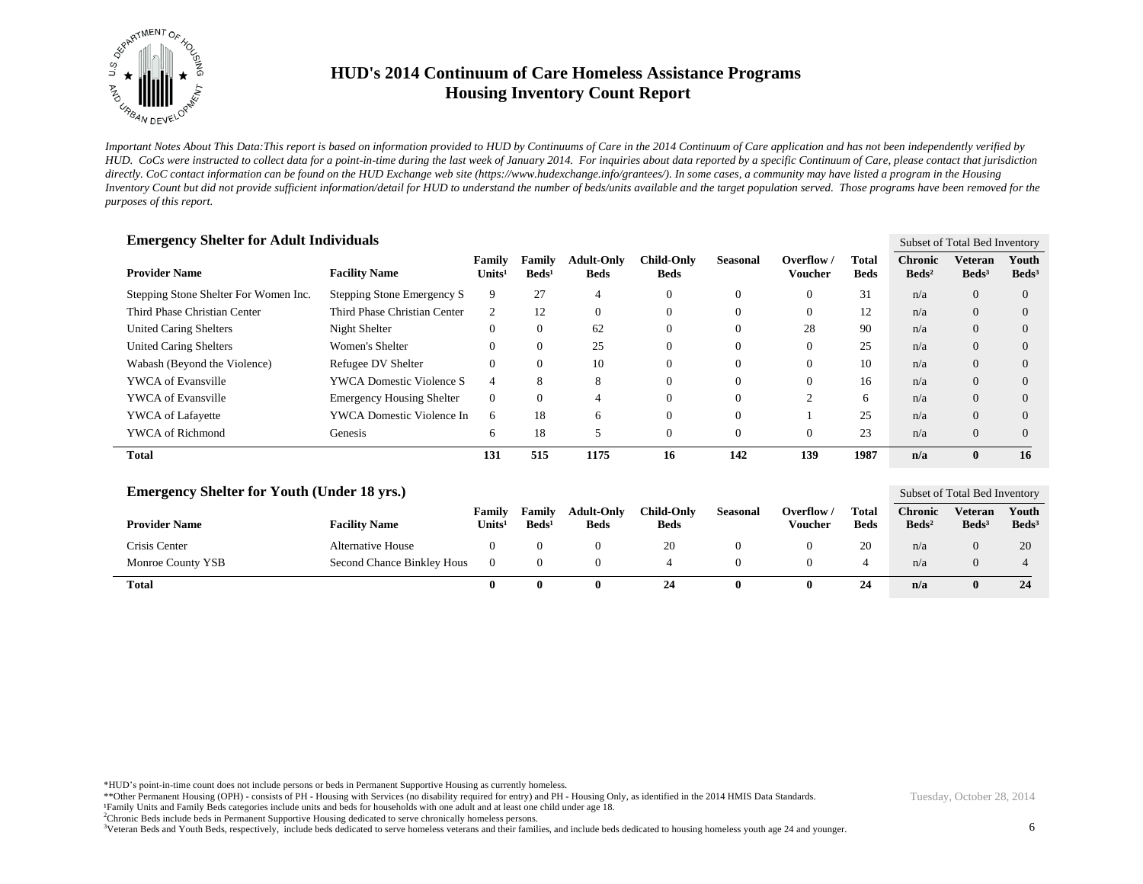

*Important Notes About This Data:This report is based on information provided to HUD by Continuums of Care in the 2014 Continuum of Care application and has not been independently verified by HUD. CoCs were instructed to collect data for a point-in-time during the last week of January 2014. For inquiries about data reported by a specific Continuum of Care, please contact that jurisdiction*  directly. CoC contact information can be found on the HUD Exchange web site (https://www.hudexchange.info/grantees/). In some cases, a community may have listed a program in the Housing *Inventory Count but did not provide sufficient information/detail for HUD to understand the number of beds/units available and the target population served. Those programs have been removed for the purposes of this report.*

| <b>Emergency Shelter for Adult Individuals</b> |                                  |                              |                           |                                  |                                  |                 |                              |                      |                                   | Subset of Total Bed Inventory |                          |  |
|------------------------------------------------|----------------------------------|------------------------------|---------------------------|----------------------------------|----------------------------------|-----------------|------------------------------|----------------------|-----------------------------------|-------------------------------|--------------------------|--|
| <b>Provider Name</b>                           | <b>Facility Name</b>             | Family<br>Units <sup>1</sup> | Family<br>$\text{Beds}^1$ | <b>Adult-Only</b><br><b>Beds</b> | <b>Child-Only</b><br><b>Beds</b> | <b>Seasonal</b> | Overflow /<br><b>Voucher</b> | Total<br><b>Beds</b> | <b>Chronic</b><br>$\text{Beds}^2$ | Veteran<br>$\text{Beds}^3$    | Youth<br>$\text{Beds}^3$ |  |
| Stepping Stone Shelter For Women Inc.          | Stepping Stone Emergency S       | 9                            | 27                        | 4                                | $\theta$                         | $\mathbf{0}$    | $\Omega$                     | 31                   | n/a                               | $\Omega$                      | $\Omega$                 |  |
| Third Phase Christian Center                   | Third Phase Christian Center     | 2                            | 12                        | $\theta$                         | $\theta$                         | $\Omega$        | $\Omega$                     | 12                   | n/a                               | $\Omega$                      | $\Omega$                 |  |
| <b>United Caring Shelters</b>                  | Night Shelter                    |                              | 0                         | 62                               | 0                                | 0               | 28                           | 90                   | n/a                               | $\overline{0}$                | $\Omega$                 |  |
| <b>United Caring Shelters</b>                  | Women's Shelter                  |                              | $\theta$                  | 25                               | $\theta$                         | 0               | $\Omega$                     | 25                   | n/a                               | $\Omega$                      | $\Omega$                 |  |
| Wabash (Beyond the Violence)                   | Refugee DV Shelter               |                              | $\theta$                  | 10                               | $\theta$                         | $\theta$        | $\Omega$                     | 10                   | n/a                               | $\Omega$                      | $\Omega$                 |  |
| <b>YWCA</b> of Evansville                      | <b>YWCA Domestic Violence S</b>  | 4                            | 8                         | 8                                | $\Omega$                         | $\theta$        | $\Omega$                     | 16                   | n/a                               | $\Omega$                      | $\Omega$                 |  |
| <b>YWCA</b> of Evansville                      | <b>Emergency Housing Shelter</b> | $\Omega$                     | $\Omega$                  | 4                                | $\Omega$                         | $\theta$        | $\sim$                       | 6                    | n/a                               | $\Omega$                      | $\Omega$                 |  |
| <b>YWCA</b> of Lafayette                       | YWCA Domestic Violence In        | 6                            | 18                        | 6                                | $\Omega$                         | $\theta$        |                              | 25                   | n/a                               | $\Omega$                      | $\Omega$                 |  |
| <b>YWCA</b> of Richmond                        | Genesis                          | 6                            | 18                        | 5                                | $\theta$                         | 0               | $\theta$                     | 23                   | n/a                               | $\Omega$                      | $\Omega$                 |  |
| <b>Total</b>                                   |                                  | 131                          | 515                       | 1175                             | 16                               | 142             | 139                          | 1987                 | n/a                               | 0                             | 16                       |  |

| <b>Emergency Shelter for Youth (Under 18 yrs.)</b> |                            |                              |                             |                                  |                           |                 |                       |                      |                                   | Subset of Total Bed Inventory |                            |  |
|----------------------------------------------------|----------------------------|------------------------------|-----------------------------|----------------------------------|---------------------------|-----------------|-----------------------|----------------------|-----------------------------------|-------------------------------|----------------------------|--|
| <b>Provider Name</b>                               | <b>Facility Name</b>       | Family<br>Units <sup>1</sup> | Family<br>Beds <sup>1</sup> | <b>Adult-Only</b><br><b>Beds</b> | Child-Onlv<br><b>Beds</b> | <b>Seasonal</b> | Overflow /<br>Voucher | Total<br><b>Beds</b> | <b>Chronic</b><br>$\text{Beds}^2$ | Veteran<br>$\text{Beds}^3$    | Youth<br>Beds <sup>3</sup> |  |
| Crisis Center                                      | Alternative House          |                              |                             |                                  | 20                        |                 |                       | 20                   | n/a                               |                               | 20                         |  |
| Monroe County YSB                                  | Second Chance Binkley Hous |                              |                             |                                  |                           |                 |                       | 4                    | n/a                               |                               |                            |  |
| <b>Total</b>                                       |                            |                              | $\bullet$                   | 0                                | 24                        |                 | $\mathbf{0}$          | 24                   | n/a                               |                               | 24                         |  |

\*HUD's point-in-time count does not include persons or beds in Permanent Supportive Housing as currently homeless.

\*\*Other Permanent Housing (OPH) - consists of PH - Housing with Services (no disability required for entry) and PH - Housing Only, as identified in the 2014 HMIS Data Standards. ¹Family Units and Family Beds categories include units and beds for households with one adult and at least one child under age 18.

<sup>2</sup>Chronic Beds include beds in Permanent Supportive Housing dedicated to serve chronically homeless persons.

<sup>3</sup>Veteran Beds and Youth Beds, respectively, include beds dedicated to serve homeless veterans and their families, and include beds dedicated to housing homeless youth age 24 and younger.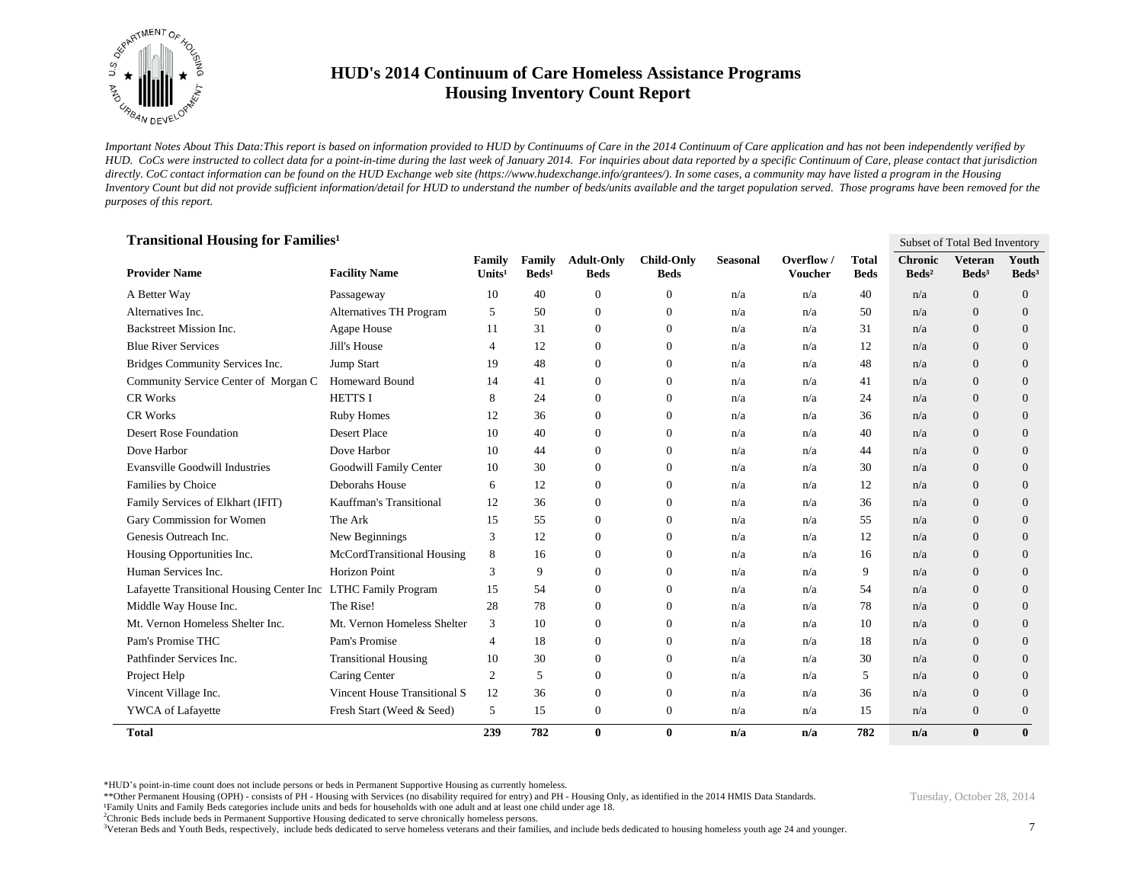

*Important Notes About This Data:This report is based on information provided to HUD by Continuums of Care in the 2014 Continuum of Care application and has not been independently verified by HUD. CoCs were instructed to collect data for a point-in-time during the last week of January 2014. For inquiries about data reported by a specific Continuum of Care, please contact that jurisdiction*  directly. CoC contact information can be found on the HUD Exchange web site (https://www.hudexchange.info/grantees/). In some cases, a community may have listed a program in the Housing *Inventory Count but did not provide sufficient information/detail for HUD to understand the number of beds/units available and the target population served. Those programs have been removed for the purposes of this report.*

| <b>Transitional Housing for Families<sup>1</sup></b><br>Subset of Total Bed Inventory |                                |                              |                           |                                  |                                  |                 |                              |                             |                                   |                                     |                            |
|---------------------------------------------------------------------------------------|--------------------------------|------------------------------|---------------------------|----------------------------------|----------------------------------|-----------------|------------------------------|-----------------------------|-----------------------------------|-------------------------------------|----------------------------|
| <b>Provider Name</b>                                                                  | <b>Facility Name</b>           | Family<br>Units <sup>1</sup> | Family<br>$\text{Beds}^1$ | <b>Adult-Only</b><br><b>Beds</b> | <b>Child-Only</b><br><b>Beds</b> | <b>Seasonal</b> | Overflow /<br><b>Voucher</b> | <b>Total</b><br><b>Beds</b> | <b>Chronic</b><br>$\text{Beds}^2$ | <b>Veteran</b><br>Beds <sup>3</sup> | Youth<br>Beds <sup>3</sup> |
| A Better Way                                                                          | Passageway                     | 10                           | 40                        | $\boldsymbol{0}$                 | $\mathbf{0}$                     | n/a             | n/a                          | 40                          | n/a                               | $\mathbf{0}$                        | $\mathbf{0}$               |
| Alternatives Inc.                                                                     | <b>Alternatives TH Program</b> | 5                            | 50                        | $\mathbf{0}$                     | $\overline{0}$                   | n/a             | n/a                          | 50                          | n/a                               | $\overline{0}$                      | $\theta$                   |
| Backstreet Mission Inc.                                                               | Agape House                    | 11                           | 31                        | $\theta$                         | $\overline{0}$                   | n/a             | n/a                          | 31                          | n/a                               | $\Omega$                            | $\theta$                   |
| <b>Blue River Services</b>                                                            | Jill's House                   | $\overline{4}$               | 12                        | $\boldsymbol{0}$                 | $\theta$                         | n/a             | n/a                          | 12                          | n/a                               | $\Omega$                            | $\theta$                   |
| Bridges Community Services Inc.                                                       | Jump Start                     | 19                           | 48                        | $\theta$                         | $\theta$                         | n/a             | n/a                          | 48                          | n/a                               | $\Omega$                            | $\theta$                   |
| Community Service Center of Morgan C                                                  | <b>Homeward Bound</b>          | 14                           | 41                        | $\mathbf{0}$                     | $\theta$                         | n/a             | n/a                          | 41                          | n/a                               | $\overline{0}$                      | $\theta$                   |
| <b>CR Works</b>                                                                       | <b>HETTS I</b>                 | 8                            | 24                        | $\mathbf{0}$                     | $\overline{0}$                   | n/a             | n/a                          | 24                          | n/a                               | $\theta$                            | $\mathbf{0}$               |
| <b>CR Works</b>                                                                       | <b>Ruby Homes</b>              | 12                           | 36                        | $\boldsymbol{0}$                 | $\mathbf{0}$                     | n/a             | n/a                          | 36                          | n/a                               | $\overline{0}$                      | $\mathbf{0}$               |
| <b>Desert Rose Foundation</b>                                                         | <b>Desert Place</b>            | 10                           | 40                        | $\overline{0}$                   | $\overline{0}$                   | n/a             | n/a                          | 40                          | n/a                               | $\overline{0}$                      | $\theta$                   |
| Dove Harbor                                                                           | Dove Harbor                    | 10                           | 44                        | $\mathbf{0}$                     | $\theta$                         | n/a             | n/a                          | 44                          | n/a                               | $\Omega$                            | $\theta$                   |
| <b>Evansville Goodwill Industries</b>                                                 | Goodwill Family Center         | 10                           | 30                        | $\theta$                         | $\overline{0}$                   | n/a             | n/a                          | 30                          | n/a                               | $\theta$                            | $\theta$                   |
| Families by Choice                                                                    | Deborahs House                 | 6                            | 12                        | $\theta$                         | $\overline{0}$                   | n/a             | n/a                          | 12                          | n/a                               | $\theta$                            | $\theta$                   |
| Family Services of Elkhart (IFIT)                                                     | Kauffman's Transitional        | 12                           | 36                        | $\mathbf{0}$                     | $\overline{0}$                   | n/a             | n/a                          | 36                          | n/a                               | $\overline{0}$                      | $\theta$                   |
| Gary Commission for Women                                                             | The Ark                        | 15                           | 55                        | $\theta$                         | $\theta$                         | n/a             | n/a                          | 55                          | n/a                               | $\Omega$                            | $\theta$                   |
| Genesis Outreach Inc.                                                                 | New Beginnings                 | 3                            | 12                        | $\boldsymbol{0}$                 | $\theta$                         | n/a             | n/a                          | 12                          | n/a                               | $\overline{0}$                      | $\overline{0}$             |
| Housing Opportunities Inc.                                                            | McCordTransitional Housing     | 8                            | 16                        | $\theta$                         | $\overline{0}$                   | n/a             | n/a                          | 16                          | n/a                               | $\theta$                            | $\theta$                   |
| Human Services Inc.                                                                   | <b>Horizon Point</b>           | 3                            | 9                         | $\boldsymbol{0}$                 | $\theta$                         | n/a             | n/a                          | 9                           | n/a                               | $\overline{0}$                      | $\theta$                   |
| Lafayette Transitional Housing Center Inc LTHC Family Program                         |                                | 15                           | 54                        | $\boldsymbol{0}$                 | $\mathbf{0}$                     | n/a             | n/a                          | 54                          | n/a                               | $\overline{0}$                      | $\mathbf{0}$               |
| Middle Way House Inc.                                                                 | The Rise!                      | 28                           | 78                        | $\boldsymbol{0}$                 | $\theta$                         | n/a             | n/a                          | 78                          | n/a                               | $\overline{0}$                      | $\theta$                   |
| Mt. Vernon Homeless Shelter Inc.                                                      | Mt. Vernon Homeless Shelter    | 3                            | 10                        | $\boldsymbol{0}$                 | $\overline{0}$                   | n/a             | n/a                          | 10                          | n/a                               | $\Omega$                            | $\theta$                   |
| Pam's Promise THC                                                                     | Pam's Promise                  | $\overline{4}$               | 18                        | $\theta$                         | $\overline{0}$                   | n/a             | n/a                          | 18                          | n/a                               | $\Omega$                            | $\theta$                   |
| Pathfinder Services Inc.                                                              | <b>Transitional Housing</b>    | 10                           | 30                        | $\theta$                         | $\overline{0}$                   | n/a             | n/a                          | 30                          | n/a                               | $\theta$                            | $\theta$                   |
| Project Help                                                                          | Caring Center                  | 2                            | 5                         | $\theta$                         | $\overline{0}$                   | n/a             | n/a                          | 5                           | n/a                               | $\overline{0}$                      | $\theta$                   |
| Vincent Village Inc.                                                                  | Vincent House Transitional S   | 12                           | 36                        | $\boldsymbol{0}$                 | $\overline{0}$                   | n/a             | n/a                          | 36                          | n/a                               | $\overline{0}$                      | $\overline{0}$             |
| YWCA of Lafayette                                                                     | Fresh Start (Weed & Seed)      | 5                            | 15                        | $\mathbf{0}$                     | $\mathbf{0}$                     | n/a             | n/a                          | 15                          | n/a                               | $\theta$                            | $\mathbf{0}$               |
| <b>Total</b>                                                                          |                                | 239                          | 782                       | $\bf{0}$                         | $\bf{0}$                         | n/a             | n/a                          | 782                         | n/a                               | $\mathbf{0}$                        | $\bf{0}$                   |

\*HUD's point-in-time count does not include persons or beds in Permanent Supportive Housing as currently homeless.

\*\*Other Permanent Housing (OPH) - consists of PH - Housing with Services (no disability required for entry) and PH - Housing Only, as identified in the 2014 HMIS Data Standards.

¹Family Units and Family Beds categories include units and beds for households with one adult and at least one child under age 18.

<sup>2</sup>Chronic Beds include beds in Permanent Supportive Housing dedicated to serve chronically homeless persons.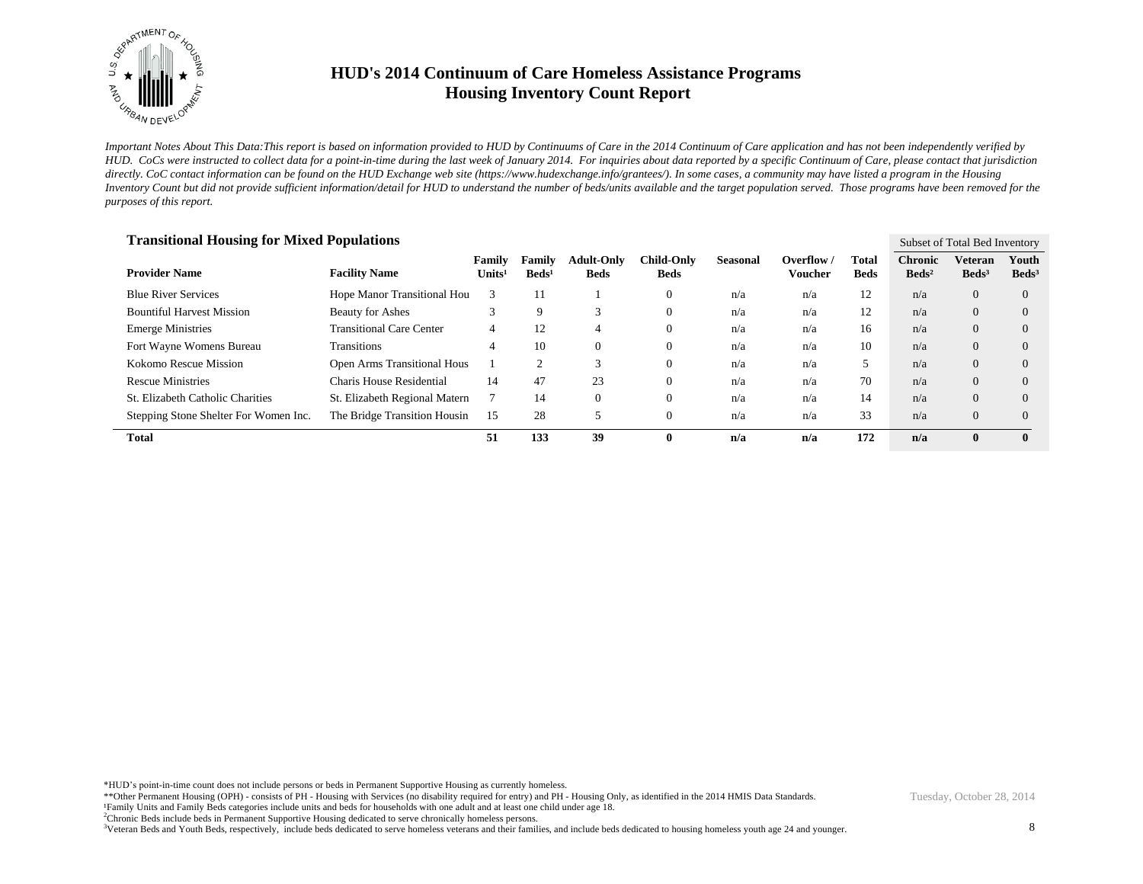

*Important Notes About This Data:This report is based on information provided to HUD by Continuums of Care in the 2014 Continuum of Care application and has not been independently verified by HUD. CoCs were instructed to collect data for a point-in-time during the last week of January 2014. For inquiries about data reported by a specific Continuum of Care, please contact that jurisdiction*  directly. CoC contact information can be found on the HUD Exchange web site (https://www.hudexchange.info/grantees/). In some cases, a community may have listed a program in the Housing *Inventory Count but did not provide sufficient information/detail for HUD to understand the number of beds/units available and the target population served. Those programs have been removed for the purposes of this report.*

| <b>Transitional Housing for Mixed Populations</b> |                                    |                  |                           |                                  |                                  |                 |                         |                      |                                   | Subset of Total Bed Inventory     |                          |  |
|---------------------------------------------------|------------------------------------|------------------|---------------------------|----------------------------------|----------------------------------|-----------------|-------------------------|----------------------|-----------------------------------|-----------------------------------|--------------------------|--|
| <b>Provider Name</b>                              | <b>Facility Name</b>               | Family<br>Units' | Family<br>$\text{Beds}^1$ | <b>Adult-Only</b><br><b>Beds</b> | <b>Child-Only</b><br><b>Beds</b> | <b>Seasonal</b> | Overflow $/$<br>Voucher | Total<br><b>Beds</b> | <b>Chronic</b><br>$\text{Beds}^2$ | <b>Veteran</b><br>$\text{Beds}^3$ | Youth<br>$\text{Beds}^3$ |  |
| <b>Blue River Services</b>                        | Hope Manor Transitional Hou        | 3                | 11                        |                                  | $\theta$                         | n/a             | n/a                     | 12                   | n/a                               | $\Omega$                          | $\Omega$                 |  |
| <b>Bountiful Harvest Mission</b>                  | <b>Beauty for Ashes</b>            |                  | 9                         | 3                                | $\theta$                         | n/a             | n/a                     | 12                   | n/a                               | $\Omega$                          | $\Omega$                 |  |
| <b>Emerge Ministries</b>                          | <b>Transitional Care Center</b>    | 4                | 12                        | 4                                | $\theta$                         | n/a             | n/a                     | 16                   | n/a                               | $\Omega$                          | $\Omega$                 |  |
| Fort Wayne Womens Bureau                          | <b>Transitions</b>                 | 4                | 10                        | $\Omega$                         | $\theta$                         | n/a             | n/a                     | 10                   | n/a                               | $\Omega$                          | $\left($                 |  |
| Kokomo Rescue Mission                             | <b>Open Arms Transitional Hous</b> |                  |                           | $\mathcal{R}$                    | $\Omega$                         | n/a             | n/a                     | 5                    | n/a                               | $\Omega$                          | $\left($                 |  |
| <b>Rescue Ministries</b>                          | Charis House Residential           | 14               | 47                        | 23                               | $\Omega$                         | n/a             | n/a                     | 70                   | n/a                               | $\Omega$                          | $\left($                 |  |
| St. Elizabeth Catholic Charities                  | St. Elizabeth Regional Matern      |                  | 14                        | $\Omega$                         | $\Omega$                         | n/a             | n/a                     | 14                   | n/a                               | $\Omega$                          | $\Omega$                 |  |
| Stepping Stone Shelter For Women Inc.             | The Bridge Transition Housin       | 15               | 28                        |                                  | $\mathbf{0}$                     | n/a             | n/a                     | 33                   | n/a                               | $\Omega$                          | $\Omega$                 |  |
| <b>Total</b>                                      |                                    | 51               | 133                       | 39                               | 0                                | n/a             | n/a                     | 172                  | n/a                               | $\mathbf{0}$                      | $\mathbf{0}$             |  |

\*HUD's point-in-time count does not include persons or beds in Permanent Supportive Housing as currently homeless.

\*\*Other Permanent Housing (OPH) - consists of PH - Housing with Services (no disability required for entry) and PH - Housing Only, as identified in the 2014 HMIS Data Standards. ¹Family Units and Family Beds categories include units and beds for households with one adult and at least one child under age 18.

<sup>2</sup>Chronic Beds include beds in Permanent Supportive Housing dedicated to serve chronically homeless persons.

<sup>3</sup>Veteran Beds and Youth Beds, respectively, include beds dedicated to serve homeless veterans and their families, and include beds dedicated to housing homeless youth age 24 and younger.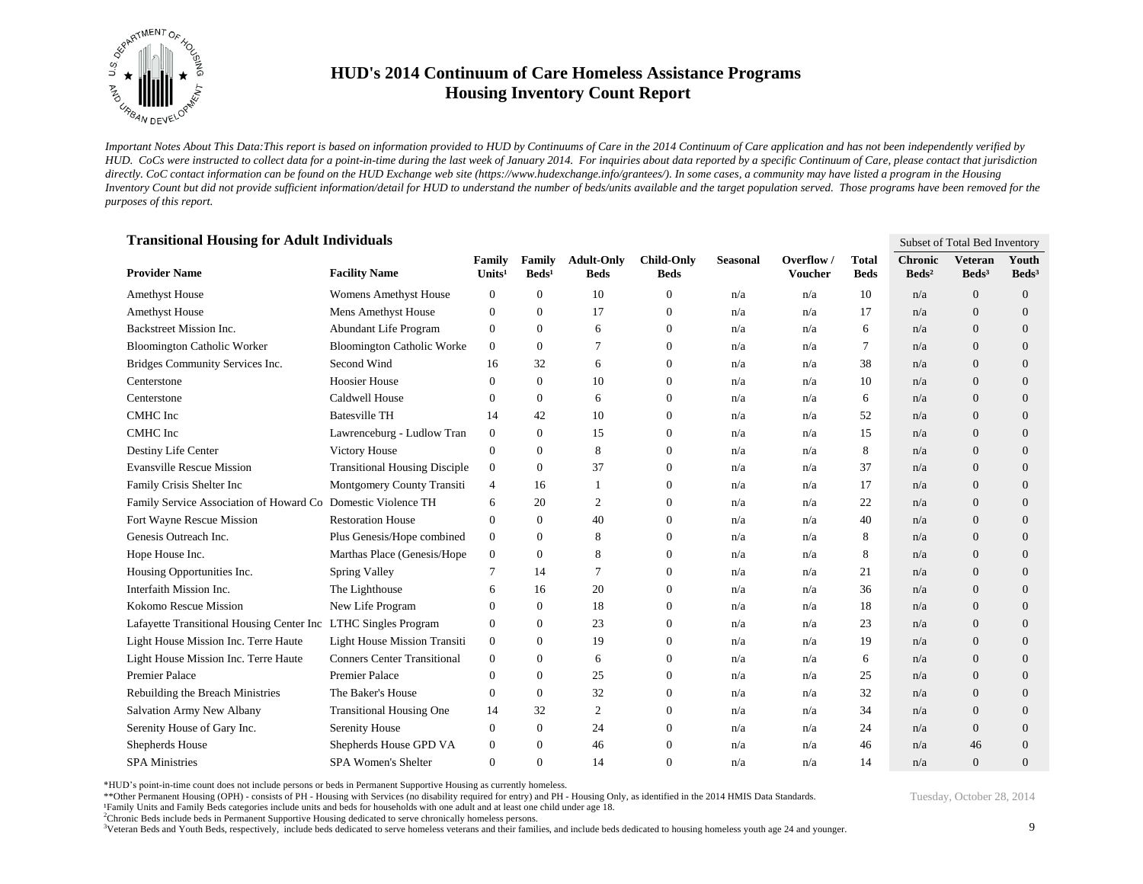

*Important Notes About This Data:This report is based on information provided to HUD by Continuums of Care in the 2014 Continuum of Care application and has not been independently verified by HUD. CoCs were instructed to collect data for a point-in-time during the last week of January 2014. For inquiries about data reported by a specific Continuum of Care, please contact that jurisdiction*  directly. CoC contact information can be found on the HUD Exchange web site (https://www.hudexchange.info/grantees/). In some cases, a community may have listed a program in the Housing *Inventory Count but did not provide sufficient information/detail for HUD to understand the number of beds/units available and the target population served. Those programs have been removed for the purposes of this report.*

| <b>Transitional Housing for Adult Individuals</b>              |                                      |                              |                           |                                  |                                  |                 |                              | Subset of Total Bed Inventory |                                   |                                     |                            |
|----------------------------------------------------------------|--------------------------------------|------------------------------|---------------------------|----------------------------------|----------------------------------|-----------------|------------------------------|-------------------------------|-----------------------------------|-------------------------------------|----------------------------|
| <b>Provider Name</b>                                           | <b>Facility Name</b>                 | Family<br>Units <sup>1</sup> | Family<br>$\text{Beds}^1$ | <b>Adult-Only</b><br><b>Beds</b> | <b>Child-Only</b><br><b>Beds</b> | <b>Seasonal</b> | Overflow /<br><b>Voucher</b> | <b>Total</b><br><b>Beds</b>   | <b>Chronic</b><br>$\text{Beds}^2$ | <b>Veteran</b><br>Beds <sup>3</sup> | Youth<br>Beds <sup>3</sup> |
| <b>Amethyst House</b>                                          | <b>Womens Amethyst House</b>         | $\mathbf{0}$                 | $\boldsymbol{0}$          | 10                               | $\boldsymbol{0}$                 | n/a             | n/a                          | 10                            | n/a                               | $\mathbf{0}$                        | $\overline{0}$             |
| Amethyst House                                                 | Mens Amethyst House                  | $\boldsymbol{0}$             | $\mathbf{0}$              | 17                               | $\boldsymbol{0}$                 | n/a             | n/a                          | 17                            | n/a                               | $\overline{0}$                      | $\mathbf{0}$               |
| Backstreet Mission Inc.                                        | Abundant Life Program                | $\mathbf{0}$                 | $\overline{0}$            | 6                                | $\mathbf{0}$                     | n/a             | n/a                          | 6                             | n/a                               | $\mathbf{0}$                        | $\overline{0}$             |
| <b>Bloomington Catholic Worker</b>                             | <b>Bloomington Catholic Worke</b>    | $\overline{0}$               | $\Omega$                  | $\overline{7}$                   | $\mathbf{0}$                     | n/a             | n/a                          | $\tau$                        | n/a                               | $\overline{0}$                      | $\theta$                   |
| Bridges Community Services Inc.                                | Second Wind                          | 16                           | 32                        | 6                                | $\mathbf{0}$                     | n/a             | n/a                          | 38                            | n/a                               | $\mathbf{0}$                        | $\mathbf{0}$               |
| Centerstone                                                    | <b>Hoosier House</b>                 | $\Omega$                     | $\mathbf{0}$              | 10                               | $\mathbf{0}$                     | n/a             | n/a                          | 10                            | n/a                               | $\Omega$                            | $\theta$                   |
| Centerstone                                                    | Caldwell House                       | $\mathbf{0}$                 | $\overline{0}$            | 6                                | $\mathbf{0}$                     | n/a             | n/a                          | 6                             | n/a                               | $\theta$                            | $\theta$                   |
| CMHC Inc                                                       | <b>Batesville TH</b>                 | 14                           | 42                        | 10                               | $\mathbf{0}$                     | n/a             | n/a                          | 52                            | n/a                               | $\overline{0}$                      | $\mathbf{0}$               |
| CMHC Inc                                                       | Lawrenceburg - Ludlow Tran           | $\boldsymbol{0}$             | $\theta$                  | 15                               | $\mathbf{0}$                     | n/a             | n/a                          | 15                            | n/a                               | $\overline{0}$                      | $\theta$                   |
| Destiny Life Center                                            | Victory House                        | $\mathbf{0}$                 | $\overline{0}$            | 8                                | $\boldsymbol{0}$                 | n/a             | n/a                          | 8                             | n/a                               | $\theta$                            | $\mathbf{0}$               |
| <b>Evansville Rescue Mission</b>                               | <b>Transitional Housing Disciple</b> | $\mathbf{0}$                 | $\theta$                  | 37                               | $\mathbf{0}$                     | n/a             | n/a                          | 37                            | n/a                               | $\mathbf{0}$                        | $\overline{0}$             |
| Family Crisis Shelter Inc                                      | Montgomery County Transiti           | $\overline{4}$               | 16                        | -1                               | $\mathbf{0}$                     | n/a             | n/a                          | 17                            | n/a                               | $\theta$                            | $\theta$                   |
| Family Service Association of Howard Co Domestic Violence TH   |                                      | 6                            | 20                        | $\overline{2}$                   | $\mathbf{0}$                     | n/a             | n/a                          | 22                            | n/a                               | $\overline{0}$                      | $\theta$                   |
| Fort Wayne Rescue Mission                                      | <b>Restoration House</b>             | $\mathbf{0}$                 | $\mathbf{0}$              | 40                               | $\mathbf{0}$                     | n/a             | n/a                          | 40                            | n/a                               | $\overline{0}$                      | $\mathbf{0}$               |
| Genesis Outreach Inc.                                          | Plus Genesis/Hope combined           | $\mathbf{0}$                 | $\overline{0}$            | 8                                | $\mathbf{0}$                     | n/a             | n/a                          | 8                             | n/a                               | $\theta$                            | $\theta$                   |
| Hope House Inc.                                                | Marthas Place (Genesis/Hope          | $\mathbf{0}$                 | $\theta$                  | 8                                | $\mathbf{0}$                     | n/a             | n/a                          | 8                             | n/a                               | $\overline{0}$                      | $\overline{0}$             |
| Housing Opportunities Inc.                                     | Spring Valley                        | 7                            | 14                        | 7                                | $\mathbf{0}$                     | n/a             | n/a                          | 21                            | n/a                               | $\mathbf{0}$                        | $\theta$                   |
| Interfaith Mission Inc.                                        | The Lighthouse                       | 6                            | 16                        | 20                               | $\mathbf{0}$                     | n/a             | n/a                          | 36                            | n/a                               | $\overline{0}$                      | $\theta$                   |
| Kokomo Rescue Mission                                          | New Life Program                     | $\mathbf{0}$                 | $\theta$                  | 18                               | $\mathbf{0}$                     | n/a             | n/a                          | 18                            | n/a                               | $\overline{0}$                      | $\theta$                   |
| Lafayette Transitional Housing Center Inc LTHC Singles Program |                                      | $\mathbf{0}$                 | $\theta$                  | 23                               | $\mathbf{0}$                     | n/a             | n/a                          | 23                            | n/a                               | $\overline{0}$                      | $\theta$                   |
| Light House Mission Inc. Terre Haute                           | <b>Light House Mission Transiti</b>  | $\mathbf{0}$                 | $\mathbf{0}$              | 19                               | $\mathbf{0}$                     | n/a             | n/a                          | 19                            | n/a                               | $\overline{0}$                      | $\overline{0}$             |
| Light House Mission Inc. Terre Haute                           | <b>Conners Center Transitional</b>   | $\mathbf{0}$                 | $\overline{0}$            | 6                                | $\mathbf{0}$                     | n/a             | n/a                          | 6                             | n/a                               | $\mathbf{0}$                        | $\theta$                   |
| <b>Premier Palace</b>                                          | <b>Premier Palace</b>                | $\mathbf{0}$                 | $\theta$                  | 25                               | $\mathbf{0}$                     | n/a             | n/a                          | 25                            | n/a                               | $\overline{0}$                      | $\theta$                   |
| Rebuilding the Breach Ministries                               | The Baker's House                    | $\mathbf{0}$                 | $\theta$                  | 32                               | $\mathbf{0}$                     | n/a             | n/a                          | 32                            | n/a                               | $\overline{0}$                      | $\theta$                   |
| Salvation Army New Albany                                      | <b>Transitional Housing One</b>      | 14                           | 32                        | 2                                | $\boldsymbol{0}$                 | n/a             | n/a                          | 34                            | n/a                               | $\overline{0}$                      | $\mathbf{0}$               |
| Serenity House of Gary Inc.                                    | Serenity House                       | $\mathbf{0}$                 | $\mathbf{0}$              | 24                               | $\boldsymbol{0}$                 | n/a             | n/a                          | 24                            | n/a                               | $\mathbf{0}$                        | $\overline{0}$             |
| Shepherds House                                                | Shepherds House GPD VA               | $\mathbf{0}$                 | $\theta$                  | 46                               | $\mathbf{0}$                     | n/a             | n/a                          | 46                            | n/a                               | 46                                  | $\theta$                   |
| <b>SPA Ministries</b>                                          | SPA Women's Shelter                  | $\Omega$                     | $\Omega$                  | 14                               | $\Omega$                         | n/a             | n/a                          | 14                            | n/a                               | $\Omega$                            | $\theta$                   |

\*HUD's point-in-time count does not include persons or beds in Permanent Supportive Housing as currently homeless.

\*\*Other Permanent Housing (OPH) - consists of PH - Housing with Services (no disability required for entry) and PH - Housing Only, as identified in the 2014 HMIS Data Standards.

¹Family Units and Family Beds categories include units and beds for households with one adult and at least one child under age 18.

<sup>2</sup>Chronic Beds include beds in Permanent Supportive Housing dedicated to serve chronically homeless persons.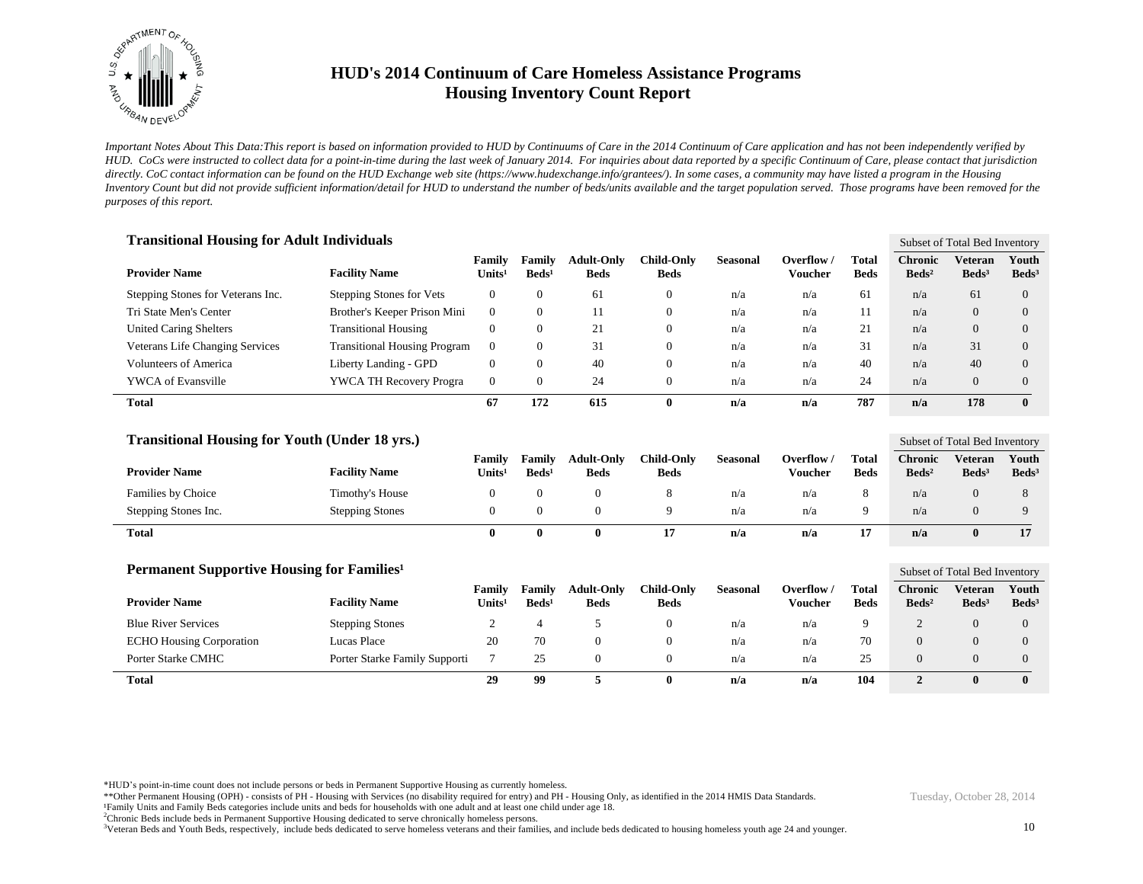

*Important Notes About This Data:This report is based on information provided to HUD by Continuums of Care in the 2014 Continuum of Care application and has not been independently verified by HUD. CoCs were instructed to collect data for a point-in-time during the last week of January 2014. For inquiries about data reported by a specific Continuum of Care, please contact that jurisdiction*  directly. CoC contact information can be found on the HUD Exchange web site (https://www.hudexchange.info/grantees/). In some cases, a community may have listed a program in the Housing *Inventory Count but did not provide sufficient information/detail for HUD to understand the number of beds/units available and the target population served. Those programs have been removed for the purposes of this report.*

| <b>Transitional Housing for Adult Individuals</b> |                                     |                              |                             |                                  |                                  |                 |                       |                      |                                   | Subset of Total Bed Inventory |                          |  |
|---------------------------------------------------|-------------------------------------|------------------------------|-----------------------------|----------------------------------|----------------------------------|-----------------|-----------------------|----------------------|-----------------------------------|-------------------------------|--------------------------|--|
| <b>Provider Name</b>                              | <b>Facility Name</b>                | Family<br>Units <sup>1</sup> | Family<br>Beds <sup>1</sup> | <b>Adult-Only</b><br><b>Beds</b> | <b>Child-Only</b><br><b>Beds</b> | <b>Seasonal</b> | Overflow /<br>Voucher | Total<br><b>Beds</b> | <b>Chronic</b><br>$\text{Beds}^2$ | Veteran<br>Beds <sup>3</sup>  | Youth<br>$\text{Beds}^3$ |  |
| Stepping Stones for Veterans Inc.                 | Stepping Stones for Vets            | $\mathbf{0}$                 | $\Omega$                    | 61                               | $\mathbf{0}$                     | n/a             | n/a                   | 61                   | n/a                               | 61                            | $\overline{0}$           |  |
| Tri State Men's Center                            | Brother's Keeper Prison Mini        | $\Omega$                     | $\Omega$                    |                                  | $\mathbf{0}$                     | n/a             | n/a                   | 11                   | n/a                               | $\overline{0}$                | $\overline{0}$           |  |
| <b>United Caring Shelters</b>                     | <b>Transitional Housing</b>         | 0                            | $\Omega$                    | 21                               | $\mathbf{0}$                     | n/a             | n/a                   | 21                   | n/a                               | $\Omega$                      | $\Omega$                 |  |
| <b>Veterans Life Changing Services</b>            | <b>Transitional Housing Program</b> | $\Omega$                     | $\Omega$                    | 31                               | $\mathbf{0}$                     | n/a             | n/a                   | 31                   | n/a                               | 31                            | $\Omega$                 |  |
| <b>Volunteers of America</b>                      | Liberty Landing - GPD               | $\mathbf{0}$                 | $\Omega$                    | 40                               | $\mathbf{0}$                     | n/a             | n/a                   | 40                   | n/a                               | 40                            | $\Omega$                 |  |
| <b>YWCA</b> of Evansville                         | <b>YWCA TH Recovery Progra</b>      | $\Omega$                     | $\Omega$                    | 24                               | $\mathbf{0}$                     | n/a             | n/a                   | 24                   | n/a                               | $\Omega$                      | $\Omega$                 |  |
| <b>Total</b>                                      |                                     | 67                           | 172                         | 615                              | 0                                | n/a             | n/a                   | 787                  | n/a                               | 178                           | $\mathbf{0}$             |  |

| <b>Transitional Housing for Youth (Under 18 yrs.)</b> |                        |                                                 |                           |                                  |                           |          |                       |                      | Subset of Total Bed Inventory     |                            |                            |
|-------------------------------------------------------|------------------------|-------------------------------------------------|---------------------------|----------------------------------|---------------------------|----------|-----------------------|----------------------|-----------------------------------|----------------------------|----------------------------|
| <b>Provider Name</b>                                  | <b>Facility Name</b>   | <b>Family</b><br>$\mathbf{V}$ nits <sup>1</sup> | Family<br>$\text{Beds}^1$ | <b>Adult-Only</b><br><b>Beds</b> | Child-Onlv<br><b>Beds</b> | Seasonal | Overflow /<br>Voucher | Total<br><b>Beds</b> | <b>Chronic</b><br>$\text{Beds}^2$ | Veteran<br>$\text{Beds}^3$ | Youth<br>Beds <sup>3</sup> |
| Families by Choice                                    | Timothy's House        |                                                 |                           |                                  |                           | n/a      | n/a                   |                      | n/a                               |                            |                            |
| Stepping Stones Inc.                                  | <b>Stepping Stones</b> |                                                 |                           |                                  |                           | n/a      | n/a                   |                      | n/a                               |                            |                            |
| <b>Total</b>                                          |                        |                                                 | 0                         |                                  |                           | n/a      | n/a                   | 17                   | n/a                               |                            |                            |

| Permanent Supportive Housing for Families <sup>1</sup> |                               |                                     |                           |                                  |                           |                 |                     |                             |                                     | Subset of Total Bed Inventory     |                          |  |  |
|--------------------------------------------------------|-------------------------------|-------------------------------------|---------------------------|----------------------------------|---------------------------|-----------------|---------------------|-----------------------------|-------------------------------------|-----------------------------------|--------------------------|--|--|
| <b>Provider Name</b>                                   | <b>Facility Name</b>          | <b>Family</b><br>Units <sup>1</sup> | Family<br>$\text{Beds}^1$ | <b>Adult-Only</b><br><b>Beds</b> | Child-Onlv<br><b>Beds</b> | <b>Seasonal</b> | Overflow<br>Voucher | <b>Total</b><br><b>Beds</b> | <b>Chronic</b><br>Beds <sup>2</sup> | <b>Veteran</b><br>$\text{Beds}^3$ | Youth<br>$\text{Beds}^3$ |  |  |
| <b>Blue River Services</b>                             | <b>Stepping Stones</b>        |                                     |                           |                                  | $\theta$                  | n/a             | n/a                 | 9                           |                                     |                                   | 0                        |  |  |
| <b>ECHO Housing Corporation</b>                        | Lucas Place                   | 20                                  | 70                        |                                  |                           | n/a             | n/a                 | 70                          |                                     |                                   |                          |  |  |
| <b>Porter Starke CMHC</b>                              | Porter Starke Family Supporti |                                     | 25                        |                                  |                           | n/a             | n/a                 | 25                          |                                     |                                   |                          |  |  |
| Total                                                  |                               | 29                                  | 99                        |                                  |                           | n/a             | n/a                 | 104                         |                                     |                                   | $\mathbf{0}$             |  |  |

\*HUD's point-in-time count does not include persons or beds in Permanent Supportive Housing as currently homeless.

\*\*Other Permanent Housing (OPH) - consists of PH - Housing with Services (no disability required for entry) and PH - Housing Only, as identified in the 2014 HMIS Data Standards.

Family Units and Family Beds categories include units and beds for households with one adult and at least one child under age 18.

<sup>2</sup>Chronic Beds include beds in Permanent Supportive Housing dedicated to serve chronically homeless persons.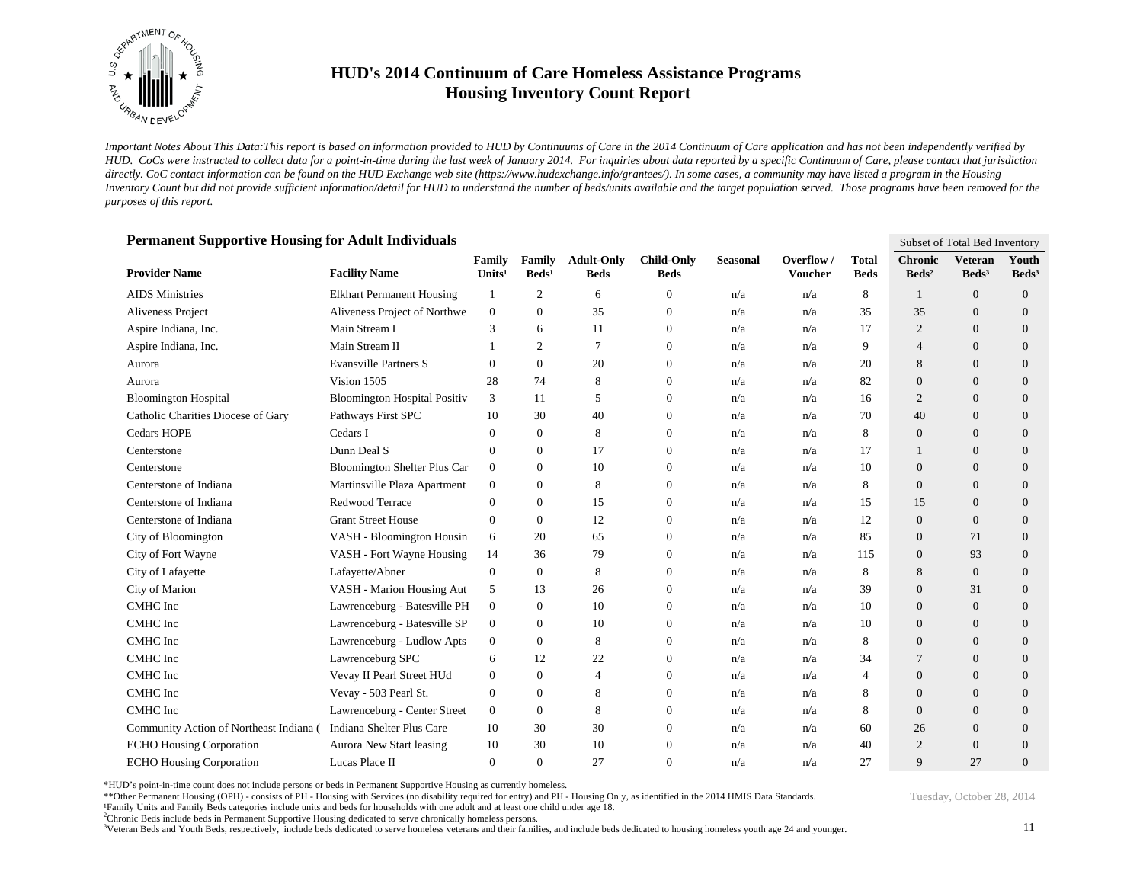

*Important Notes About This Data:This report is based on information provided to HUD by Continuums of Care in the 2014 Continuum of Care application and has not been independently verified by HUD. CoCs were instructed to collect data for a point-in-time during the last week of January 2014. For inquiries about data reported by a specific Continuum of Care, please contact that jurisdiction*  directly. CoC contact information can be found on the HUD Exchange web site (https://www.hudexchange.info/grantees/). In some cases, a community may have listed a program in the Housing *Inventory Count but did not provide sufficient information/detail for HUD to understand the number of beds/units available and the target population served. Those programs have been removed for the purposes of this report.*

| Permanent Supportive Housing for Adult Individuals |                                     |                              |                           |                                  |                                  |                 | Subset of Total Bed Inventory |                             |                                   |                                     |                          |
|----------------------------------------------------|-------------------------------------|------------------------------|---------------------------|----------------------------------|----------------------------------|-----------------|-------------------------------|-----------------------------|-----------------------------------|-------------------------------------|--------------------------|
| <b>Provider Name</b>                               | <b>Facility Name</b>                | Family<br>Units <sup>1</sup> | Family<br>$\text{Beds}^1$ | <b>Adult-Only</b><br><b>Beds</b> | <b>Child-Only</b><br><b>Beds</b> | <b>Seasonal</b> | Overflow/<br><b>Voucher</b>   | <b>Total</b><br><b>Beds</b> | <b>Chronic</b><br>$\text{Beds}^2$ | <b>Veteran</b><br>Beds <sup>3</sup> | Youth<br>$\text{Beds}^3$ |
| <b>AIDS</b> Ministries                             | <b>Elkhart Permanent Housing</b>    | 1                            | 2                         | 6                                | $\mathbf{0}$                     | n/a             | n/a                           | 8                           | $\overline{1}$                    | $\overline{0}$                      | $\theta$                 |
| Aliveness Project                                  | Aliveness Project of Northwe        | $\overline{0}$               | $\overline{0}$            | 35                               | $\boldsymbol{0}$                 | n/a             | n/a                           | 35                          | 35                                | $\overline{0}$                      | $\theta$                 |
| Aspire Indiana, Inc.                               | Main Stream I                       | 3                            | 6                         | 11                               | $\boldsymbol{0}$                 | n/a             | n/a                           | 17                          | $\overline{2}$                    | $\Omega$                            | $\theta$                 |
| Aspire Indiana, Inc.                               | Main Stream II                      |                              | 2                         | 7                                | $\boldsymbol{0}$                 | n/a             | n/a                           | 9                           | $\overline{4}$                    | $\theta$                            | $\theta$                 |
| Aurora                                             | <b>Evansville Partners S</b>        | $\Omega$                     | $\overline{0}$            | 20                               | $\mathbf{0}$                     | n/a             | n/a                           | 20                          | 8                                 | $\theta$                            | $\theta$                 |
| Aurora                                             | Vision 1505                         | 28                           | 74                        | 8                                | 0                                | n/a             | n/a                           | 82                          | $\mathbf{0}$                      | $\theta$                            | $\theta$                 |
| <b>Bloomington Hospital</b>                        | <b>Bloomington Hospital Positiv</b> | 3                            | 11                        | 5                                | 0                                | n/a             | n/a                           | 16                          | 2                                 | $\theta$                            | $\theta$                 |
| Catholic Charities Diocese of Gary                 | Pathways First SPC                  | 10                           | 30                        | 40                               | $\boldsymbol{0}$                 | n/a             | n/a                           | 70                          | 40                                | $\overline{0}$                      | $\theta$                 |
| <b>Cedars HOPE</b>                                 | Cedars I                            | 0                            | $\overline{0}$            | 8                                | $\mathbf{0}$                     | n/a             | n/a                           | 8                           | $\overline{0}$                    | $\theta$                            | $\theta$                 |
| Centerstone                                        | Dunn Deal S                         | 0                            | $\overline{0}$            | 17                               | $\mathbf{0}$                     | n/a             | n/a                           | 17                          | $\mathbf{1}$                      | $\theta$                            | $\theta$                 |
| Centerstone                                        | <b>Bloomington Shelter Plus Car</b> | $\overline{0}$               | $\Omega$                  | 10                               | $\mathbf{0}$                     | n/a             | n/a                           | 10                          | $\mathbf{0}$                      | $\theta$                            | $\theta$                 |
| Centerstone of Indiana                             | Martinsville Plaza Apartment        | $\mathbf{0}$                 | $\overline{0}$            | 8                                | $\mathbf{0}$                     | n/a             | n/a                           | 8                           | $\mathbf{0}$                      | $\theta$                            | $\theta$                 |
| Centerstone of Indiana                             | Redwood Terrace                     | 0                            | 0                         | 15                               | $\theta$                         | n/a             | n/a                           | 15                          | 15                                | $\theta$                            | $\theta$                 |
| Centerstone of Indiana                             | <b>Grant Street House</b>           | 0                            | 0                         | 12                               | $\mathbf{0}$                     | n/a             | n/a                           | 12                          | $\mathbf{0}$                      | $\theta$                            | $\theta$                 |
| City of Bloomington                                | VASH - Bloomington Housin           | 6                            | 20                        | 65                               | $\theta$                         | n/a             | n/a                           | 85                          | $\mathbf{0}$                      | 71                                  | $\theta$                 |
| City of Fort Wayne                                 | VASH - Fort Wayne Housing           | 14                           | 36                        | 79                               | $\theta$                         | n/a             | n/a                           | 115                         | $\mathbf{0}$                      | 93                                  | $\theta$                 |
| City of Lafayette                                  | Lafayette/Abner                     | 0                            | $\mathbf{0}$              | 8                                | $\mathbf{0}$                     | n/a             | n/a                           | 8                           | 8                                 | $\overline{0}$                      | $\theta$                 |
| City of Marion                                     | VASH - Marion Housing Aut           | 5                            | 13                        | 26                               | $\theta$                         | n/a             | n/a                           | 39                          | $\mathbf{0}$                      | 31                                  | $\theta$                 |
| CMHC Inc                                           | Lawrenceburg - Batesville PH        | $\overline{0}$               | $\Omega$                  | 10                               | $\theta$                         | n/a             | n/a                           | 10                          | $\mathbf{0}$                      | $\theta$                            | $\Omega$                 |
| CMHC Inc                                           | Lawrenceburg - Batesville SP        | $\overline{0}$               | $\Omega$                  | 10                               | $\mathbf{0}$                     | n/a             | n/a                           | 10                          | $\mathbf{0}$                      | $\Omega$                            | $\Omega$                 |
| CMHC Inc                                           | Lawrenceburg - Ludlow Apts          | 0                            | $\mathbf{0}$              | 8                                | $\theta$                         | n/a             | n/a                           | 8                           | $\mathbf{0}$                      | $\Omega$                            | $\theta$                 |
| CMHC Inc                                           | Lawrenceburg SPC                    | 6                            | 12                        | 22                               | $\mathbf{0}$                     | n/a             | n/a                           | 34                          | 7                                 | $\Omega$                            | $\theta$                 |
| CMHC Inc                                           | Vevay II Pearl Street HUd           | 0                            | $\Omega$                  | $\overline{4}$                   | $\mathbf{0}$                     | n/a             | n/a                           | $\overline{4}$              | $\Omega$                          | $\Omega$                            | $\theta$                 |
| CMHC Inc                                           | Vevay - 503 Pearl St.               | 0                            | $\mathbf{0}$              | 8                                | $\mathbf{0}$                     | n/a             | n/a                           | 8                           | $\mathbf{0}$                      | $\theta$                            | $\theta$                 |
| CMHC Inc                                           | Lawrenceburg - Center Street        | $\overline{0}$               | $\overline{0}$            | 8                                | $\mathbf{0}$                     | n/a             | n/a                           | 8                           | $\Omega$                          | $\overline{0}$                      | $\theta$                 |
| Community Action of Northeast Indiana (            | Indiana Shelter Plus Care           | 10                           | 30                        | 30                               | $\boldsymbol{0}$                 | n/a             | n/a                           | 60                          | 26                                | $\overline{0}$                      | $\theta$                 |
| <b>ECHO Housing Corporation</b>                    | Aurora New Start leasing            | 10                           | 30                        | 10                               | $\Omega$                         | n/a             | n/a                           | 40                          | $\overline{2}$                    | $\Omega$                            | $\theta$                 |
| <b>ECHO Housing Corporation</b>                    | Lucas Place II                      | $\theta$                     | $\Omega$                  | 27                               | $\Omega$                         | n/a             | n/a                           | 27                          | 9                                 | 27                                  | $\Omega$                 |

#### **Permanent Supportive Housing for Adult Individuals**

\*HUD's point-in-time count does not include persons or beds in Permanent Supportive Housing as currently homeless.

\*\*Other Permanent Housing (OPH) - consists of PH - Housing with Services (no disability required for entry) and PH - Housing Only, as identified in the 2014 HMIS Data Standards.

¹Family Units and Family Beds categories include units and beds for households with one adult and at least one child under age 18.

<sup>2</sup>Chronic Beds include beds in Permanent Supportive Housing dedicated to serve chronically homeless persons.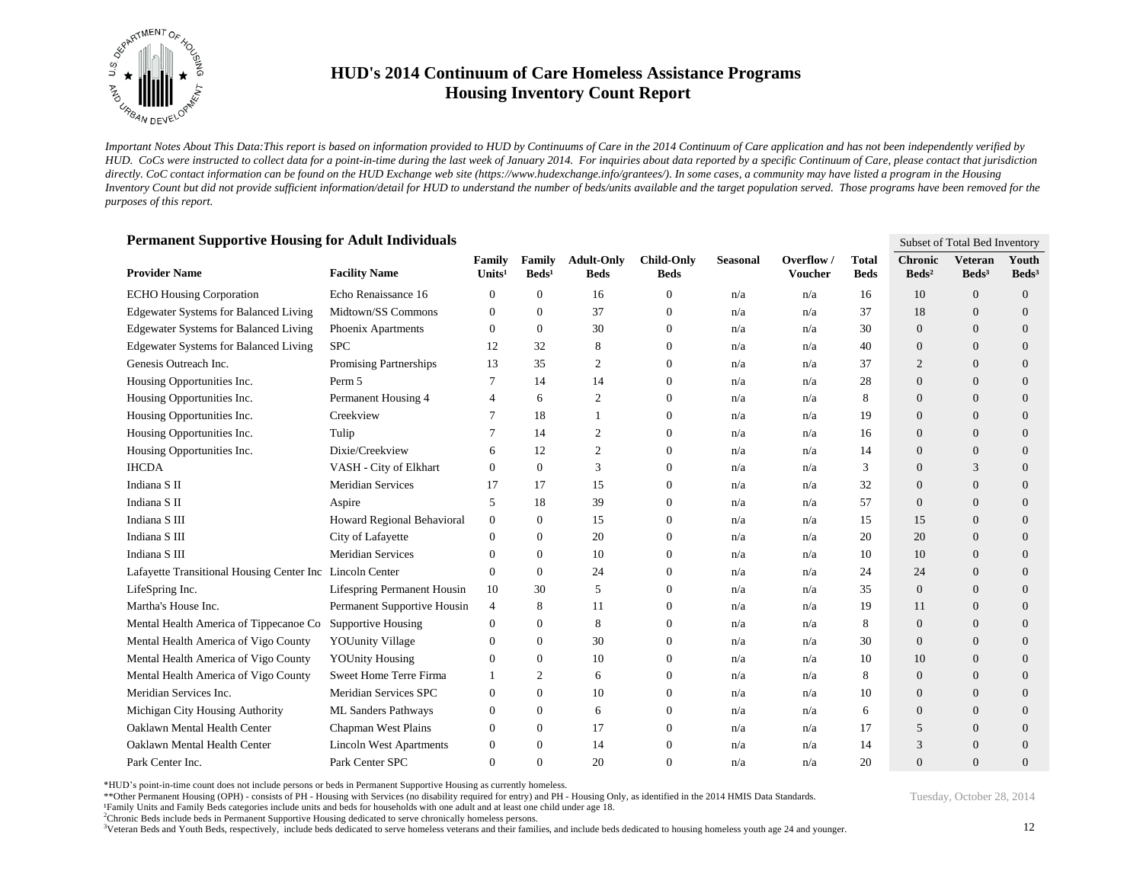

*Important Notes About This Data:This report is based on information provided to HUD by Continuums of Care in the 2014 Continuum of Care application and has not been independently verified by HUD. CoCs were instructed to collect data for a point-in-time during the last week of January 2014. For inquiries about data reported by a specific Continuum of Care, please contact that jurisdiction*  directly. CoC contact information can be found on the HUD Exchange web site (https://www.hudexchange.info/grantees/). In some cases, a community may have listed a program in the Housing *Inventory Count but did not provide sufficient information/detail for HUD to understand the number of beds/units available and the target population served. Those programs have been removed for the purposes of this report.*

| Permanent Supportive Housing for Adult Individuals       |                                    |                              |                           |                                  |                                  |                 | Subset of Total Bed Inventory |                             |                                   |                                     |                            |
|----------------------------------------------------------|------------------------------------|------------------------------|---------------------------|----------------------------------|----------------------------------|-----------------|-------------------------------|-----------------------------|-----------------------------------|-------------------------------------|----------------------------|
| <b>Provider Name</b>                                     | <b>Facility Name</b>               | Family<br>Units <sup>1</sup> | Family<br>$\text{Beds}^1$ | <b>Adult-Only</b><br><b>Beds</b> | <b>Child-Only</b><br><b>Beds</b> | <b>Seasonal</b> | Overflow/<br><b>Voucher</b>   | <b>Total</b><br><b>Beds</b> | <b>Chronic</b><br>$\text{Beds}^2$ | <b>Veteran</b><br>Beds <sup>3</sup> | Youth<br>Beds <sup>3</sup> |
| <b>ECHO Housing Corporation</b>                          | Echo Renaissance 16                | $\Omega$                     | $\theta$                  | 16                               | $\mathbf{0}$                     | n/a             | n/a                           | 16                          | 10                                | $\theta$                            | $\theta$                   |
| <b>Edgewater Systems for Balanced Living</b>             | Midtown/SS Commons                 | $\mathbf{0}$                 | $\mathbf{0}$              | 37                               | $\overline{0}$                   | n/a             | n/a                           | 37                          | 18                                | $\overline{0}$                      | $\overline{0}$             |
| <b>Edgewater Systems for Balanced Living</b>             | Phoenix Apartments                 | $\mathbf{0}$                 | $\overline{0}$            | 30                               | $\mathbf{0}$                     | n/a             | n/a                           | 30                          | $\overline{0}$                    | $\Omega$                            | $\overline{0}$             |
| <b>Edgewater Systems for Balanced Living</b>             | <b>SPC</b>                         | 12                           | 32                        | 8                                | $\mathbf{0}$                     | n/a             | n/a                           | 40                          | $\overline{0}$                    | $\Omega$                            | $\overline{0}$             |
| Genesis Outreach Inc.                                    | Promising Partnerships             | 13                           | 35                        | 2                                | $\mathbf{0}$                     | n/a             | n/a                           | 37                          | $\overline{2}$                    | $\overline{0}$                      | $\overline{0}$             |
| Housing Opportunities Inc.                               | Perm 5                             | 7                            | 14                        | 14                               | 0                                | n/a             | n/a                           | 28                          | $\mathbf{0}$                      | $\overline{0}$                      | $\overline{0}$             |
| Housing Opportunities Inc.                               | Permanent Housing 4                | 4                            | 6                         | $\overline{2}$                   | $\mathbf{0}$                     | n/a             | n/a                           | 8                           | $\overline{0}$                    | $\overline{0}$                      | $\overline{0}$             |
| Housing Opportunities Inc.                               | Creekview                          |                              | 18                        |                                  | $\boldsymbol{0}$                 | n/a             | n/a                           | 19                          | $\mathbf{0}$                      | $\overline{0}$                      | $\overline{0}$             |
| Housing Opportunities Inc.                               | Tulip                              |                              | 14                        | $\overline{2}$                   | $\overline{0}$                   | n/a             | n/a                           | 16                          | $\theta$                          | $\theta$                            | $\overline{0}$             |
| Housing Opportunities Inc.                               | Dixie/Creekview                    | 6                            | 12                        | $\overline{2}$                   | $\mathbf{0}$                     | n/a             | n/a                           | 14                          | $\Omega$                          | $\overline{0}$                      | $\overline{0}$             |
| <b>IHCDA</b>                                             | VASH - City of Elkhart             | 0                            | $\overline{0}$            | 3                                | $\overline{0}$                   | n/a             | n/a                           | 3                           | $\theta$                          | 3                                   | $\overline{0}$             |
| Indiana S II                                             | <b>Meridian Services</b>           | 17                           | 17                        | 15                               | $\mathbf{0}$                     | n/a             | n/a                           | 32                          | $\overline{0}$                    | $\overline{0}$                      | $\overline{0}$             |
| Indiana S <sub>II</sub>                                  | Aspire                             | 5                            | 18                        | 39                               | $\mathbf{0}$                     | n/a             | n/a                           | 57                          | $\theta$                          | $\overline{0}$                      | $\overline{0}$             |
| Indiana S III                                            | Howard Regional Behavioral         | $\mathbf{0}$                 | $\overline{0}$            | 15                               | $\mathbf{0}$                     | n/a             | n/a                           | 15                          | 15                                | $\overline{0}$                      | $\overline{0}$             |
| Indiana S III                                            | City of Lafayette                  | $\mathbf{0}$                 | $\theta$                  | 20                               | $\mathbf{0}$                     | n/a             | n/a                           | 20                          | 20                                | $\overline{0}$                      | $\overline{0}$             |
| Indiana S III                                            | <b>Meridian Services</b>           | $\theta$                     | $\theta$                  | 10                               | $\mathbf{0}$                     | n/a             | n/a                           | 10                          | 10                                | $\overline{0}$                      | $\overline{0}$             |
| Lafayette Transitional Housing Center Inc Lincoln Center |                                    | $\mathbf{0}$                 | $\theta$                  | 24                               | $\overline{0}$                   | n/a             | n/a                           | 24                          | 24                                | $\overline{0}$                      | $\overline{0}$             |
| LifeSpring Inc.                                          | <b>Lifespring Permanent Housin</b> | 10                           | 30                        | 5                                | $\overline{0}$                   | n/a             | n/a                           | 35                          | $\theta$                          | $\theta$                            | $\overline{0}$             |
| Martha's House Inc.                                      | Permanent Supportive Housin        | 4                            | 8                         | 11                               | $\Omega$                         | n/a             | n/a                           | 19                          | 11                                | $\Omega$                            | $\overline{0}$             |
| Mental Health America of Tippecanoe Co                   | <b>Supportive Housing</b>          | 0                            | $\Omega$                  | 8                                | $\Omega$                         | n/a             | n/a                           | 8                           | $\Omega$                          | $\Omega$                            | $\Omega$                   |
| Mental Health America of Vigo County                     | <b>YOUunity Village</b>            | $\theta$                     | $\theta$                  | 30                               | $\Omega$                         | n/a             | n/a                           | 30                          | $\Omega$                          | $\Omega$                            | $\overline{0}$             |
| Mental Health America of Vigo County                     | <b>YOUnity Housing</b>             | $\theta$                     | $\theta$                  | 10                               | $\mathbf{0}$                     | n/a             | n/a                           | 10                          | 10                                | $\Omega$                            | $\overline{0}$             |
| Mental Health America of Vigo County                     | Sweet Home Terre Firma             |                              | 2                         | 6                                | $\Omega$                         | n/a             | n/a                           | 8                           | $\overline{0}$                    | $\Omega$                            | $\overline{0}$             |
| Meridian Services Inc.                                   | Meridian Services SPC              | $\mathbf{0}$                 | $\theta$                  | 10                               | $\mathbf{0}$                     | n/a             | n/a                           | 10                          | $\mathbf{0}$                      | $\Omega$                            | $\overline{0}$             |
| Michigan City Housing Authority                          | <b>ML Sanders Pathways</b>         | $\mathbf{0}$                 | $\mathbf{0}$              | 6                                | $\mathbf{0}$                     | n/a             | n/a                           | 6                           | $\theta$                          | $\Omega$                            | $\overline{0}$             |
| Oaklawn Mental Health Center                             | Chapman West Plains                | $\mathbf{0}$                 | $\mathbf{0}$              | 17                               | $\mathbf{0}$                     | n/a             | n/a                           | 17                          | 5                                 | $\overline{0}$                      | $\overline{0}$             |
| Oaklawn Mental Health Center                             | <b>Lincoln West Apartments</b>     | $\mathbf{0}$                 | $\theta$                  | 14                               | $\Omega$                         | n/a             | n/a                           | 14                          | 3                                 | $\Omega$                            | $\overline{0}$             |
| Park Center Inc.                                         | Park Center SPC                    | $\Omega$                     | $\Omega$                  | 20                               | $\Omega$                         | n/a             | n/a                           | 20                          | $\Omega$                          | $\Omega$                            | $\Omega$                   |

#### **Permanent Supportive Housing for Adult Individuals**

\*HUD's point-in-time count does not include persons or beds in Permanent Supportive Housing as currently homeless.

\*\*Other Permanent Housing (OPH) - consists of PH - Housing with Services (no disability required for entry) and PH - Housing Only, as identified in the 2014 HMIS Data Standards. ¹Family Units and Family Beds categories include units and beds for households with one adult and at least one child under age 18.

<sup>2</sup>Chronic Beds include beds in Permanent Supportive Housing dedicated to serve chronically homeless persons.

<sup>3</sup>Veteran Beds and Youth Beds, respectively, include beds dedicated to serve homeless veterans and their families, and include beds dedicated to housing homeless youth age 24 and younger.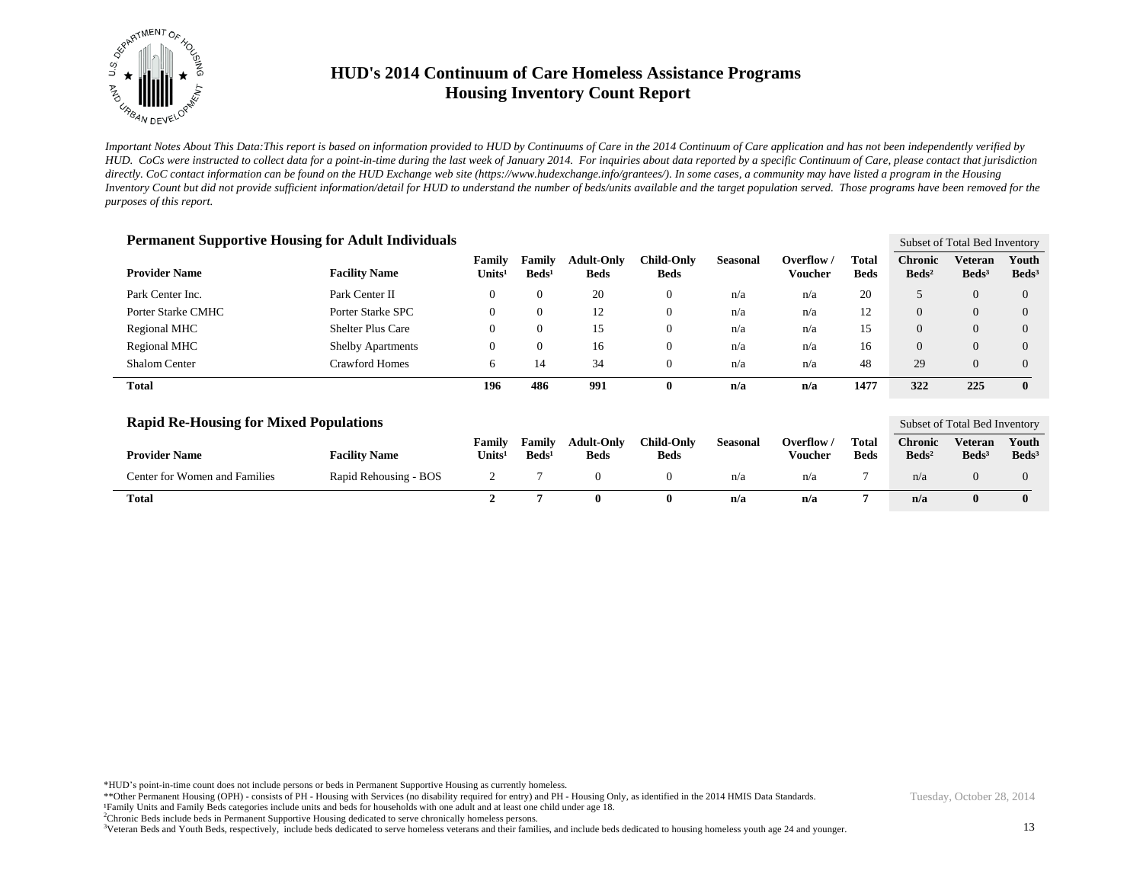

*Important Notes About This Data:This report is based on information provided to HUD by Continuums of Care in the 2014 Continuum of Care application and has not been independently verified by HUD. CoCs were instructed to collect data for a point-in-time during the last week of January 2014. For inquiries about data reported by a specific Continuum of Care, please contact that jurisdiction*  directly. CoC contact information can be found on the HUD Exchange web site (https://www.hudexchange.info/grantees/). In some cases, a community may have listed a program in the Housing *Inventory Count but did not provide sufficient information/detail for HUD to understand the number of beds/units available and the target population served. Those programs have been removed for the purposes of this report.*

| <b>Permanent Supportive Housing for Adult Individuals</b> |                          |                              |                             |                                  |                                  |                 |                       | Subset of Total Bed Inventory |                                     |                              |                          |
|-----------------------------------------------------------|--------------------------|------------------------------|-----------------------------|----------------------------------|----------------------------------|-----------------|-----------------------|-------------------------------|-------------------------------------|------------------------------|--------------------------|
| <b>Provider Name</b>                                      | <b>Facility Name</b>     | Family<br>Units <sup>1</sup> | Family<br>Beds <sup>1</sup> | <b>Adult-Only</b><br><b>Beds</b> | <b>Child-Only</b><br><b>Beds</b> | <b>Seasonal</b> | Overflow /<br>Voucher | <b>Total</b><br><b>Beds</b>   | <b>Chronic</b><br>$\mathbf{Beds^2}$ | Veteran<br>Beds <sup>3</sup> | Youth<br>$\text{Beds}^3$ |
| Park Center Inc.                                          | Park Center II           | $\theta$                     | $\Omega$                    | 20                               | $\mathbf{0}$                     | n/a             | n/a                   | 20                            |                                     | $\Omega$                     | $\Omega$                 |
| Porter Starke CMHC                                        | Porter Starke SPC        | $\mathbf{0}$                 | $\overline{0}$              | 12                               | $\mathbf{0}$                     | n/a             | n/a                   | 12                            | $\overline{0}$                      | $\theta$                     | $\Omega$                 |
| Regional MHC                                              | Shelter Plus Care        | $\mathbf{0}$                 | $\Omega$                    | 15                               | $\mathbf{0}$                     | n/a             | n/a                   | 15                            | $\Omega$                            | $\Omega$                     | $\Omega$                 |
| Regional MHC                                              | <b>Shelby Apartments</b> | $\mathbf{0}$                 | $\theta$                    | 16                               | $\mathbf{0}$                     | n/a             | n/a                   | 16                            | $\Omega$                            | $\Omega$                     | $\Omega$                 |
| Shalom Center                                             | Crawford Homes           | 6                            | 14                          | 34                               | $\mathbf{0}$                     | n/a             | n/a                   | 48                            | 29                                  | $\Omega$                     | $\Omega$                 |
| <b>Total</b>                                              |                          | 196                          | 486                         | 991                              | $\bf{0}$                         | n/a             | n/a                   | 1477                          | 322                                 | 225                          | $\mathbf{0}$             |

| <b>Rapid Re-Housing for Mixed Populations</b> |                       |                            |                           |                                  |                           |          |                       |                             | Subset of Total Bed Inventory       |                            |                            |  |
|-----------------------------------------------|-----------------------|----------------------------|---------------------------|----------------------------------|---------------------------|----------|-----------------------|-----------------------------|-------------------------------------|----------------------------|----------------------------|--|
| <b>Provider Name</b>                          | <b>Facility Name</b>  | Family<br>$\text{Units}^1$ | Family<br>$\text{Beds}^1$ | <b>Adult-Only</b><br><b>Beds</b> | Child-Onlv<br><b>Beds</b> | Seasonal | Overflow /<br>Voucher | <b>Total</b><br><b>Beds</b> | <b>Chronic</b><br>Beds <sup>2</sup> | Veteran<br>$\text{Beds}^3$ | Youth<br>Beds <sup>3</sup> |  |
| Center for Women and Families                 | Rapid Rehousing - BOS |                            |                           |                                  |                           | n/a      | n/a                   |                             | n/a                                 |                            |                            |  |
| <b>Total</b>                                  |                       |                            |                           |                                  | 0                         | n/a      | n/a                   |                             | n/a                                 |                            |                            |  |

\*HUD's point-in-time count does not include persons or beds in Permanent Supportive Housing as currently homeless.

\*\*Other Permanent Housing (OPH) - consists of PH - Housing with Services (no disability required for entry) and PH - Housing Only, as identified in the 2014 HMIS Data Standards. Family Units and Family Beds categories include units and beds for households with one adult and at least one child under age 18.

<sup>2</sup>Chronic Beds include beds in Permanent Supportive Housing dedicated to serve chronically homeless persons.

<sup>3</sup>Veteran Beds and Youth Beds, respectively, include beds dedicated to serve homeless veterans and their families, and include beds dedicated to housing homeless youth age 24 and younger.